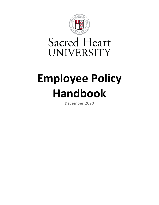

## **Sacred Heart** UNIVERSITY

# **Employee Policy Handbook**

December 2020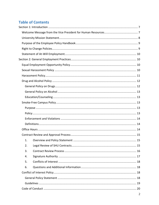## **Table of Contents**

| 1. |  |
|----|--|
| 2. |  |
| 3. |  |
| 4. |  |
| 5. |  |
| 6. |  |
|    |  |
|    |  |
|    |  |
|    |  |
|    |  |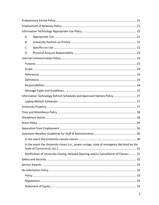| Α. |                                                                                            |    |
|----|--------------------------------------------------------------------------------------------|----|
| В. |                                                                                            |    |
| C. |                                                                                            |    |
| D. |                                                                                            |    |
|    |                                                                                            |    |
|    |                                                                                            |    |
|    |                                                                                            |    |
|    |                                                                                            |    |
|    |                                                                                            |    |
|    |                                                                                            |    |
|    |                                                                                            |    |
|    | Information Technology Refresh Schedules and Approved Options Policy  27                   |    |
|    |                                                                                            |    |
|    |                                                                                            |    |
|    |                                                                                            |    |
|    |                                                                                            |    |
|    |                                                                                            |    |
|    |                                                                                            |    |
|    |                                                                                            | 30 |
|    |                                                                                            |    |
|    | In the event the University closes (i.e., power outage, state of emergency declared by the |    |
|    | Notification of University Closing, Delayed Opening and/or Cancellation of Classes: 31     |    |
|    |                                                                                            |    |
|    |                                                                                            |    |
|    |                                                                                            |    |
|    |                                                                                            |    |
|    |                                                                                            |    |
|    |                                                                                            |    |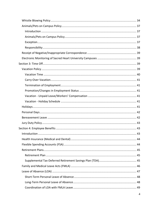| . 43 |
|------|
|      |
|      |
|      |
|      |
|      |
|      |
|      |
|      |
|      |
|      |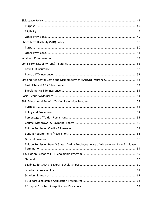|                                                                                     | 58 |
|-------------------------------------------------------------------------------------|----|
|                                                                                     |    |
| Tuition Remission Benefit Status During Employee Leave of Absence, or Upon Employee |    |
|                                                                                     |    |
|                                                                                     |    |
|                                                                                     |    |
|                                                                                     |    |
|                                                                                     |    |
|                                                                                     |    |
|                                                                                     |    |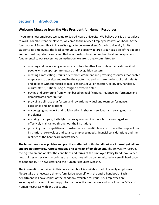## <span id="page-6-0"></span>**Section 1: Introduction**

## <span id="page-6-1"></span>**Welcome Message from the Vice President for Human Resources**

If you are a new employee welcome to Sacred Heart University! We believe this is a great place to work. For all current employees, welcome to the revised Employee Policy Handbook. At the foundation of Sacred Heart University's goal to be an excellent Catholic University for its students, its employees, the local community, and society at large is our basic belief that people are our most important assets and that relationships based on mutual trust and respect are fundamental to our success. As an institution, we are strongly committed to:

- creating and maintaining a university culture to attract and retain the best- qualified people with an appropriate reward and recognition system;
- creating a motivating, results-oriented environment and providing resources that enable employees to develop and realize their potential, and to make the best of their talents and abilities without regard to race, gender, sexual orientation, color, age, handicap, marital status, national origin, religion or veteran status;
- paying and promoting from within based on qualifications, initiative, performance and demonstrated contribution;
- providing a climate that fosters and rewards individual and team performance, excellence and innovation;
- encouraging teamwork and collaboration in sharing new ideas and solving mutual problems;
- ensuring that open, forthright, two-way communication is both encouraged and effectively maintained throughout the institution;
- providing that competitive and cost-effective benefit plans are in place that support our institutional core values and balance employee needs, financial considerations and the realities of the healthcare marketplace.

**The human resources policies and practices reflected in this handbook are internal guidelines and are not promises, representations or a contract of employment.** The University reserves the right to amend or alter the conditions and terms of the Employee Policy Handbook. When new policies or revisions to policies are made, they will be communicated via email, hard copy to handbooks, HR newsletter and the Human Resources website.

The information contained in this policy handbook is available to all University employees. Please take the necessary time to familiarize yourself with the entire handbook. Each department will have copies of the handbook available for your use. Employees are encouraged to refer to it and copy information as the need arises and to call on the Office of Human Resources with any questions.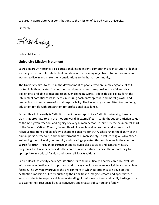We greatly appreciate your contributions to the mission of Sacred Heart University.

Sincerely,

Robert Me stardy

Robert M. Hardy

#### <span id="page-7-0"></span>**University Mission Statement**

Sacred Heart University is a co-educational, independent, comprehensive institution of higher learning in the Catholic Intellectual Tradition whose primary objective is to prepare men and women to live in and make their contributions to the human community.

The University aims to assist in the development of people who are knowledgeable of self, rooted in faith, educated in mind, compassionate in heart, responsive to social and civic obligations, and able to respond to an ever-changing world. It does this by calling forth the intellectual potential of its students, nurturing each one's spiritual and moral growth, and deepening in them a sense of social responsibility. The University is committed to combining education for life with preparation for professional excellence.

Sacred Heart University is Catholic in tradition and spirit. As a Catholic university, it seeks to play its appropriate role in the modern world. It exemplifies in its life the Judeo-Christian values of the God-given freedom and dignity of every human person. Inspired by the ecumenical spirit of the Second Vatican Council, Sacred Heart University welcomes men and women of all religious traditions and beliefs who share its concerns for truth, scholarship, the dignity of the human person, freedom, and the betterment of human society. It values religious diversity as enhancing the University community and creating opportunities for dialogue in the common search for truth. Through its curricular and co-curricular activities and campus ministry programs, the University provides the context in which students have the opportunity to appropriate in a critical fashion their own religious traditions.

Sacred Heart University challenges its students to think critically, analyze carefully, evaluate with a sense of justice and proportion, and convey conclusions in an intelligible and articulate fashion. The University provides the environment in which its students can develop the aesthetic dimension of life by nurturing their abilities to imagine, create and appreciate. It assists students to acquire a rich understanding of their own cultural and family heritages so as to assume their responsibilities as conveyers and creators of culture and family.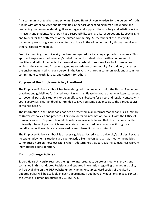As a community of teachers and scholars, Sacred Heart University exists for the pursuit of truth. It joins with other colleges and universities in the task of expanding human knowledge and deepening human understanding. It encourages and supports the scholarly and artistic work of its faculty and students. Further, it has a responsibility to share its resources and its special gifts and talents for the betterment of the human community. All members of the University community are strongly encouraged to participate in the wider community through service to others, especially the poor.

From its founding, the University has been recognized for its caring approach to students. This approach expresses the University's belief that each student is born with a unique set of qualities and skills. It respects the personal and academic freedom of each of its members while, at the same time, fostering a genuine experience of community. By so doing, it creates the environment in which each person in the University shares in common goals and a common commitment to truth, justice, and concern for others.

## <span id="page-8-0"></span>**Purpose of the Employee Policy Handbook**

The Employee Policy Handbook has been designed to acquaint you with the Human Resources practices and guidelines for Sacred Heart University. Please be aware that no written statement can cover all possible situations or be an effective substitute for direct and regular contact with your supervisor. This handbook is intended to give you some guidance as to the various topics contained herein.

The information in this handbook has been presented in an informal manner and is a summary of University policies and practices. For more detailed information, consult with the Office of Human Resources. Separate benefits booklets are available to you that describe in detail the University's benefit plans which are only briefly summarized here. Your specific rights and benefits under these plans are governed by each benefit plan or contract.

The Employee Policy Handbook is a general guide to Sacred Heart University's policies. Because no two employment situations are ever exactly alike, the University may modify the policies summarized here on those occasions when it determines that particular circumstances warrant individualized consideration.

## <span id="page-8-1"></span>**Right to Change Policies**

Sacred Heart University reserves the right to interpret, add, delete or modify all provisions contained in this handbook. Revisions and updated information regarding changes in a policy will be available on the SHU website under Human Resources. Hard copies of a revised or updated policy will be available in each department. If you have any questions, please contact the Office of Human Resources at 203-365-7633.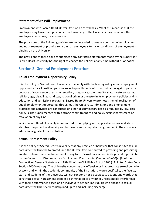## <span id="page-9-0"></span>**Statement of At-Will Employment**

Employment with Sacred Heart University is on an at-will basis. What this means is that the employee may leave their position at the University or the University may terminate the employee at any time, for any reason.

The provisions of the following policies are not intended to create a contract of employment, and no agreement or promise regarding an employee's terms or conditions of employment is binding on the University.

The provisions of these policies supersede any conflicting statements made by the supervisor. Sacred Heart University has the right to change the policies at any time without prior notice.

## <span id="page-9-1"></span>**Section 2: General Employment Practices**

## <span id="page-9-2"></span>**Equal Employment Opportunity Policy**

It is the policy of Sacred Heart University to comply with the law regarding equal employment opportunity for all qualified persons so as to prohibit unlawful discrimination against persons because of race, gender, sexual orientation, pregnancy, color, marital status, veteran status, religion, age, disability, handicap, national origin or ancestry in its employment policies and its education and admissions programs. Sacred Heart University promotes the full realization of equal employment opportunity throughout the University. Admissions and employment practices and activities are conducted on a non-discriminatory basis as required by law. This policy is also supplemented with a strong commitment to and policy against harassment or retaliation of any kind.

While Sacred Heart University is committed to complying with applicable federal and state statutes, the pursuit of diversity and fairness is, more importantly, grounded in the mission and educational goals of our institution.

## <span id="page-9-3"></span>**Sexual Harassment Policy**

It is the policy of Sacred Heart University that any practice or behavior that constitutes sexual harassment will not be tolerated, and the University is committed to providing and preserving an atmosphere free from harassment in any form. Sexual harassment is illegal and is prohibited by the Connecticut Discriminatory Employment Practices Act (Section 46a-60(a) (8) of the Connecticut General Statutes) and Title VII of the Civil Rights Act of 1964 (42 United States Code Section 2000e et. seq.) The University condemns any offensive or inappropriate sexual behavior at work and within the academic community of the institution. More specifically, the faculty, staff and students of the University will not condone nor be subject to actions and words that constitute sexual harassment, gender discrimination or any other unreasonable interference with their performance based on an individual's gender. Individuals who engage in sexual harassment will be severely disciplined up to and including discharge.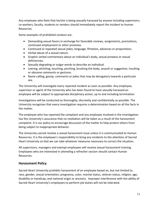Any employee who feels that he/she is being sexually harassed by anyone including supervisors, co-workers, faculty, students or vendors should immediately report the incident to Human Resources.

Some examples of prohibited conduct are:

- Demanding sexual favors in exchange for favorable reviews, assignments, promotions, continued employment or other promises.
- Continued or repeated sexual jokes, language, flirtation, advances or propositions.
- Verbal abuse of a sexual nature.
- Graphic verbal commentary about an individual's body, sexual prowess or sexual deficiencies.
- Sexually degrading or vulgar words to describe an individual.
- Leering, whistling, touching, pinching, brushing the body, assault or suggestive, insulting or obscene comments or gestures.
- Name calling, gossip, comments or jokes that may be derogatory towards a particular sex.

The University will investigate every reported incident as soon as possible. Any employee, supervisor or agent of the University who has been found to have sexually harassed an employee will be subject to appropriate disciplinary action, up to and including termination.

Investigations will be conducted as thoroughly, discreetly and confidentially as possible. The University recognizes that every investigation requires a determination based on all the facts in the matter.

The employee who has reported the complaint and any employee involved in the investigation has the University's assurance that no retaliation will be taken as a result of the harassment complaint. It is our policy to encourage discussion of the matter to help protect others from being subject to inappropriate behavior.

The University cannot resolve a sexual harassment issue unless it is communicated to Human Resources. It is the employee's responsibility to bring any incidents to the attention of Sacred Heart University so that we can take whatever measures necessary to correct the situation.

All supervisors, managers and exempt employees will receive sexual harassment training. Employees who are interested in attending a refresher session should contact Human Resources.

## <span id="page-10-0"></span>**Harassment Policy**

Sacred Heart University prohibits harassment of an employee based on, but not limited to, race, gender, sexual orientation, pregnancy, color, marital status, veteran status, religion, age, disability or handicap, and national origin or ancestry. Improper interference with the ability of Sacred Heart University's employees to perform job duties will not be tolerated.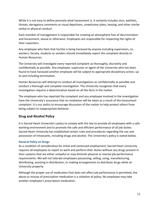While it is not easy to define precisely what harassment is, it certainly includes slurs, epithets, threats, derogatory comments or visual depictions, unwelcome jokes, teasing, and other similar verbal or physical conduct.

Each member of management is responsible for creating an atmosphere free of discrimination and harassment, sexual or otherwise. Employees are responsible for respecting the rights of their coworkers.

Any employee who feels that he/she is being harassed by anyone including supervisors, coworkers, faculty, students or vendors should immediately report the complaint directly to Human Resources.

The University will investigate every reported complaint as thoroughly, discreetly and confidentially as possible. Any employee, supervisor or agent of the University who has been found to have harassed another employee will be subject to appropriate disciplinary action, up to and including termination.

Human Resources will attempt to conduct all investigations as confidentially as possible and conduct a thorough and complete investigation. The University recognizes that every investigation requires a determination based on all the facts in the matter.

The employee who has reported the complaint and any employee involved in the investigation have the University's assurance that no retaliation will be taken as a result of the harassment complaint. It is our policy to encourage discussion of the matter to help protect others from being subject to inappropriate behavior.

## <span id="page-11-0"></span>**Drug and Alcohol Policy**

It is Sacred Heart University's policy to comply with the law to provide all employees with a safe working environment and to promote the safe and efficient performance of all job duties. Sacred Heart University has established certain rules and procedures regarding the use and possession of intoxicants, including drugs and alcohol. The University's policy is stated below.

## <span id="page-11-1"></span>**General Policy on Drugs**

As a condition of consideration for initial and continued employment, Sacred Heart University requires all employees to report to work and perform their duties without any drugs present in their systems that are either unlawful or may diminish physical or mental job performance requirements. We will not tolerate employees possessing, selling, using, manufacturing, distributing, assisting in distribution, or making arrangements to distribute drugs while on University property.

Although the proper use of medication that does not affect job performance is permitted, the abuse or misuse of prescription medication is a violation of policy. No employee may take another employee's prescription medication.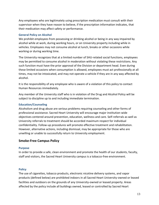Any employees who are legitimately using prescription medication must consult with their supervisor when they have reason to believe, if the prescription information indicates, that their medication may affect safety or performance.

#### <span id="page-12-0"></span>**General Policy on Alcohol**

We prohibit employees from possessing or drinking alcohol or being in any way impaired by alcohol while at work, during working hours, or on University property including while in vehicles. Employees may not consume alcohol at lunch, breaks or other occasions while working or during working time.

The University recognizes that at a limited number of SHU-related social functions, employees may be permitted to consume alcohol in moderation without violating these restrictions. Any such function must have the prior approval of the Division or department head. Even during these limited occasions when consumption is allowed, employees must act professionally at all times, may not be intoxicated, and may not operate a vehicle if they are in any way affected by alcohol.

It is the responsibility of any employee who is aware of a violation of this policy to contact Human Resources immediately.

Any member of the University staff who is in violation of the Drug and Alcohol Policy will be subject to discipline up to and including immediate termination.

#### <span id="page-12-1"></span>**Education/Counseling**

Alcoholism and drug abuse are serious problems requiring counseling and other forms of professional assistance. Sacred Heart University will encourage major institution-wide objectives centered around prevention, education, wellness and care. Self-referrals as well as University referrals to treatment should be accorded maximum respect for individual confidentiality. Follow-up procedures will promote effective treatment and rehabilitation. However, alternative actions, including dismissal, may be appropriate for those who are unwilling or unable to successfully return to University employment.

## <span id="page-12-2"></span>**Smoke-Free Campus Policy**

#### <span id="page-12-3"></span>**Purpose**

In order to provide a safe, clean environment and promote the health of our students, faculty, staff and visitors, the Sacred Heart University campus is a tobacco-free environment.

#### <span id="page-12-4"></span>**Policy**

The use of cigarettes, tobacco products, electronic nicotine delivery systems, and vapor products (defined below) are prohibited indoors in all Sacred Heart University-owned or leased facilities and outdoors on the grounds of any University-owned or leased property. Areas affected by the policy include all buildings owned, leased or controlled by Sacred Heart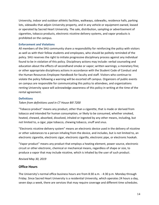University, indoor and outdoor athletic facilities, walkways, sidewalks, residence halls, parking lots, sidewalks that adjoin University property, and in any vehicle or equipment owned, leased or operated by Sacred Heart University. The sale, distribution, sampling or advertisement of cigarettes, tobacco products, electronic nicotine delivery systems, and vapor products is prohibited on the campus.

#### <span id="page-13-0"></span>**Enforcement and Violations**

All members of the SHU community share a responsibility for reinforcing the policy with visitors as well as with their fellow students and employees, who should be politely reminded of the policy. SHU reserves the right to initiate progressive disciplinary process against any individual found to be in violation of this policy. Disciplinary actions may include: verbal counseling and education about the effects of secondhand smoke or vapor; written warnings; a monetary fine; or other appropriate disciplinary actions in accordance with the Student Code of Conduct and the Human Resources Employee Handbook for faculty and staff. Visitors who continue to violate the policy following a warning will be escorted off campus. Organizers of public events on campus are responsible for communicating this policy to attendees, and organizations renting University space will acknowledge awareness of this policy in writing at the time of the rental agreement.

#### <span id="page-13-1"></span>**Definitions**

#### *Taken from definitions used in CT House Bill 7200*

"Tobacco product" means any product, other than a cigarette, that is made or derived from tobacco and intended for human consumption, or likely to be consumed, whether smoked, heated, chewed, absorbed, dissolved, inhaled or ingested by any other means, including, but not limited to, a cigar, pipe tobacco, chewing tobacco, snuff and snus.

"Electronic nicotine delivery system" means an electronic device used in the delivery of nicotine or other substances to a person inhaling from the device, and includes, but is not limited to, an electronic cigarette, electronic cigar, electronic cigarillo, electronic pipe, or electronic hookah.

"Vapor product" means any product that employs a heating element, power source, electronic circuit or other electronic, chemical or mechanical means, regardless of shape or size, to produce a vapor that may include nicotine, which is inhaled by the user of such product.

*Revised May 30, 2019*

## <span id="page-13-2"></span>**Office Hours**

The University's normal office business hours are from 8:30 a.m. - 4:30 p.m. Monday through Friday. Since Sacred Heart University is a residential University, which operates 24 hours a day, seven days a week, there are services that may require coverage and different time schedules.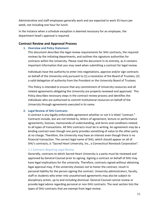Administrative and staff employees generally work and are expected to work 35 hours per week, not including one hour for lunch.

In the instance when a schedule exception is deemed necessary for an employee, the department head's approval is required.

#### <span id="page-14-1"></span><span id="page-14-0"></span>**Contract Review and Approval Process**

#### **1. Overview and Policy Statement**

This document describes the legal review requirements for SHU contracts, the required reviews by the initiating departments, and outlines the signature authorities for contracts within the University. Please read the document in its entirety, as it contains important information that you may need when submitting a contract for legal review.

Individuals have the authority to enter into negotiations, approve and/or sign contracts on behalf of the University only pursuant to (1) a resolution of the Board of Trustees; (2) a valid delegation of authority from the President or the University Board of Trustees.

This Policy is intended to ensure that any commitment of University resources and all related agreements obligating the University are properly reviewed and approved. This Policy describes necessary steps in the contract review process and identifies the individuals who are authorized to commit institutional resources on behalf of the University through agreements executed in its name.

#### <span id="page-14-2"></span>**2. Legal Review of SHU Contracts**

A contract is any legally enforceable agreement whether or not it is titled "contract." Contracts include, but are not limited to, letters of agreement, lecture or performance agreements, licenses, memoranda of understanding, and terms and conditions related to all types of transactions. All SHU contracts must be in writing. An agreement may be a binding contract even though one party provides something of value to the other party at no charge. Therefore, the University may have an interest even though there is no financial transaction. The correct legal name of SHU, which should appear on all of SHU's contracts, is "Sacred Heart University, Inc., a Connecticut Nonstock Corporation".

#### *2.1 Contracts Requiring Legal Review*

Generally, contracts to which Sacred Heart University is a party must be reviewed and approved by General Counsel prior to signing. Signing a contract on behalf of SHU may have legal implications for the university. Therefore, contracts signed without obtaining legal approval may, if the university chooses not to honor the contract, result in personal liability for the person signing the contract. University administrators, faculty, staff or students who enter into unauthorized agreements may also be subject to disciplinary action, up to and including dismissal. General Counsel cannot review or provide legal advice regarding personal or non-SHU contracts. The next section lists the types of SHU contracts that are exempt from legal review.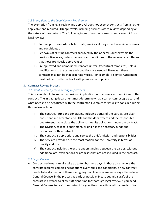#### *2.2 Exemptions to the Legal Review Requirement*

The exemption from legal review and approval does not exempt contracts from all other applicable and required SHU approvals, including business office review, depending on the nature of the contract. The following types of contracts are currently exempt from legal review:

- I. Routine purchase orders, bills of sale, invoices, if they do not contain any terms and conditions; or
- II. Renewals of existing contracts approved by the General Counsel within the previous five years, unless the terms and conditions of the renewal are different that those previously approved; or
- III. Pre-approved and unmodified standard university contract templates, unless modifications to the terms and conditions are needed. However, these contracts may not be inappropriately used. For example, a Service Agreement must not be used to contract with providers of supplies.

#### <span id="page-15-0"></span>**3. Contract Review Process**

#### *3.1 Initial Review by the Initiating Department*

This review should focus on the business implications of the terms and conditions of the contract. The initiating department must determine what it can or cannot agree to, and what needs to be negotiated with the contractor. Examples for issues to consider during this review include:

- I. The contract terms and conditions, including duties of the parties, are clear, consistent and acceptable to SHU and the department and the responsible department has in place the ability to meet its obligations under the contract.
- II. The Division, college, department, or unit has the necessary funds and resources for this contract.
- III. The contract is appropriate and serves the unit's mission and responsibilities.
- IV. The services provided are the most feasible for the University in terms of quality and cost.
- V. The contract includes the entire understanding between the parties, without additional oral explanations or promises that are not included in the contract.

#### *3.2 Legal Review*

A. Contract reviews normally take up to ten business days. In those cases where the contract requires complex negotiations over terms and conditions, a new contract needs to be drafted, or if there is a signing deadline, you are encouraged to include General Counsel in the process as early as possible. Please submit a draft of the contract in advance to allow sufficient time for thorough legal review. If you need General Counsel to draft the contract for you, then more time will be needed. You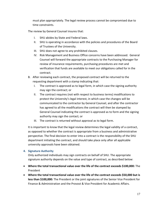must plan appropriately. The legal review process cannot be compromised due to time constraints.

The review by General Counsel insures that:

- I. SHU abides by State and Federal laws.
- II. SHU is operating in accordance with the policies and procedures of the Board of Trustees of the University.
- III. SHU does not agree to any prohibited clauses.
- IV. Risk Management and Business Office concerns have been addressed. General Counsel will forward the appropriate contracts to the Purchasing Manager for review of insurance requirements, purchasing procedures are met and verification that funds are available to meet our obligations called for in the contract.
- B. After reviewing each contract, the proposed contract will be returned to the requesting department with a stamp indicating that:
	- I. The contract is approved as to legal form, in which case the signing authority may sign the contract; or
	- II. The contract requires (not with respect to business terms) modifications to protect the University's legal interest, in which case the changes will be communicated to the contractor by General Counsel, and after the contractor has agreed to all the modifications the contract will then be stamped by General Counsel indicating the contract is approved as to form and the signing authority may sign the contact; or
	- III. The contract is returned without approval as to legal form.

It is important to know that the legal review determines the legal validity of a contract, as opposed to whether the contract is appropriate from a business and administrative perspective. The final decision to enter into a contract is the responsibility of the SHU department initiating the contract, and should take place only after all applicable university approvals have been obtained.

## <span id="page-16-0"></span>**4. Signature Authority**

Only authorized individuals may sign contracts on behalf of SHU. The appropriate signature authority depends on the value and type of contract, as described below:

- **Where the total transactional value over the life of the contract exceeds \$100,000:** The President
- **Where the total transactional value over the life of the contract exceeds \$50,000 but is less than \$100,000:** The President or the joint signatures of the Senior Vice President for Finance & Administration and the Provost & Vice President for Academic Affairs.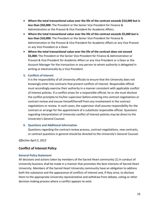- **Where the total transactional value over the life of the contract exceeds \$10,000 but is less than \$50,000:** The President or the Senior Vice President for Finance & Administration or the Provost & Vice President for Academic Affairs.
- **Where the total transactional value over the life of the contract exceeds \$5,000 but is less than \$10,000:** The President or the Senior Vice President for Finance & Administration or the Provost & Vice President for Academic Affairs or any Vice Provost or any Vice President or a Dean.
- **Where the total transactional value over the life of the contract does not exceed \$5,000:** The President or the Senior Vice President for Finance & Administration or Provost & Vice President for Academic Affairs or any Vice President or a Dean or the Account Manager for the transaction or any person to whom authority is delegated in writing or electronically by a Vice President.

#### <span id="page-17-0"></span>**5. Conflicts of Interest**

It is the responsibility of all University officials to ensure that the University does not knowingly enter into contracts that present conflicts of interest. Responsible official must accordingly exercise their authority in a manner consistent with applicable conflict of interest policies. If a conflict arises for a responsible official, he or she must disclose the conflict promptly to his/her supervisor before entering into contract negotiations or contract review and excuse himself/herself from any involvement in the contract negotiations or review. In such cases, the supervisor shall assume responsibility for the contract or arrange for the appointment of a substitute responsible official. Questions regarding interpretation of University conflict of interest policies may be direct to the University's General Counsel.

#### <span id="page-17-1"></span>**6. Questions and Additional Information**

Questions regarding the contract review process, contract negotiations, new contracts, or contract questions in general should be directed to the University's General Counsel.

*Effective April 2, 2012*

## <span id="page-17-2"></span>**Conflict of Interest Policy**

#### <span id="page-17-3"></span>**General Policy Statement**

All decisions and actions taken by members of the Sacred Heart community [1] in conduct of University business shall be made in a manner that promotes the best interests of Sacred Heart University. Members of the Sacred Heart University community have an obligation to address both the substance and the appearance of conflicts of interest and, if they arise, to disclose them to the appropriate University representative and withdraw from debate, voting or other decision-making process where a conflict appears to exist.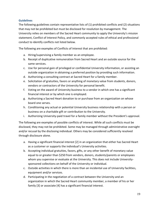#### <span id="page-18-0"></span>**Guidelines**

The following guidelines contain representative lists of (1) prohibited conflicts and (2) situations that may not be prohibited but must be disclosed for resolution by management. The University relies on members of the Sacred Heart community to apply the University's mission statement, Conflict of Interest Policy, and commonly accepted rules of ethical and professional conduct to identify conflicts not listed below.

The following are examples of Conflicts of Interest that are prohibited:

- a. Hiring/supervising a family member as an employee.
- b. Receipt of duplicative remuneration from Sacred Heart and an outside source for the same services.
- c. Use for personal gain of privileged or confidential University information, or assisting an outside organization in obtaining a preferred position by providing such information.
- d. Authorizing a consulting contract at Sacred Heart for a family member.
- e. Solicitation of gratuities, favors or anything of monetary value from students, donors, vendors or contractors of the University for personal benefit.
- f. Voting on the award of University business to a vendor in which one has a significant financial interest or by which one is employed.
- g. Authorizing a Sacred Heart donation to or purchase from an organization on whose board one serves.
- h. Conditioning any actual or potential University business relationship with a person or business on a charitable gift or contribution to the University.
- i. Authorizing University-paid travel for a family member without the President's approval.

The following are examples of possible conflicts of interest. While all such conflicts must be disclosed, they may not be prohibited. Some may be managed through administrative oversight and/or recusal by the disclosing individual. Others may be considered sufficiently resolved through disclosure alone.

- a. Having a significant financial interest [2] in an organization that either has Sacred Heart as a customer or supports the individual's University activities.
- b. Accepting individual gratuities, favors, gifts, or any other benefit of monetary value equal to or greater than \$250 from vendors, donors, students/parents or employees whom you supervise or evaluate at the University. This does not include Universitysponsored collections on behalf of the University or individual.
- c. Outside activities in which there is more than an incidental use of University facilities, equipment and/or services.
- d. Participating in the negotiation of a contract between the University and an organization in which the Sacred Heart community member, a member of his or her family [3] or associate [4] has a significant financial interest.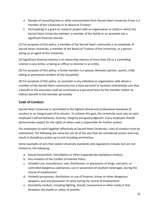- e. Receipt of consulting fees or other remuneration from Sacred Heart University if one is a member of the University or its Board of Trustees.
- f. Participating in a grant or research project with an organization or entity in which the Sacred Heart University member, a member of the family or an associate has a significant financial interest.

[1] For purposes of this policy, a member of the Sacred Heart community is an employee of Sacred Heart University, a member of the Board of Trustees of the University, or a person acting as an agent of the University.

[2] Significant financial interest is an ownership interest of more than 5% or a controlling interest in any entity, or being an officer or director in an entity.

[3] For purposes of this policy, a family member is a spouse, domestic partner, parent, child, sibling or permanent resident of the household.

[4] For purposes of this policy, an associate is any individual or organization with whom a member of the Sacred Heart community has a close personal or business relationship such that a benefit to the associate could be construed as a personal favor by the member and/or an indirect benefit to the member personally.

## <span id="page-19-0"></span>**Code of Conduct**

Sacred Heart University is committed to the highest ethical and professional standards of conduct as an integral part of its mission. To achieve this goal, the University must rely on each employee's ethical behavior, honesty, integrity and good judgment. Every employee should demonstrate respect for the rights of others and is responsible for his/her actions.

For employees to work together effectively at Sacred Heart University, rules of conduct must be maintained. The following are some but not all of the acts that are considered serious and may result in disciplinary action up to and including termination.

Some examples of acts that violate University standards and regulations include, but are not limited to, the following:

- a. Sexual harassment, intimidation or other inappropriate workplace conduct.
- b. Any violation of the Conflict of Interest Policy.
- c. Unlawful use, manufacture, sale, distribution, or possession of drugs, narcotics, or controlled dangerous substances, use or possession of alcoholic beverages, during the course of employment.
- d. Unlawful possession, distribution or use of firearms, knives or other dangerous weapons, and any possession of same during the course of employment.
- e. Disorderly conduct, including fighting, threats, harassment or other conduct that threatens the health or safety of another.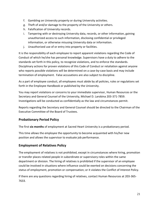- f. Gambling on University property or during University activities.
- g. Theft of and/or damage to the property of the University or others.
- h. Falsification of University records.
- i. Tampering with or destroying University data, records, or other information, gaining unauthorized access to such information, disclosing confidential or privileged information, or otherwise misusing University data or information.
- j. Unauthorized use of or entry into property or facilities.

It is the responsibility of each employee to report apparent violations regarding the Code of Conduct of which he/she has personal knowledge. Supervisors have a duty to adhere to the standards set forth in this policy, to recognize violations, and to enforce the standards. Disciplinary actions for proven violations of this Code of Conduct or retaliation against anyone who reports possible violations will be determined on a case-by-case basis and may include termination of employment. False accusations are also subject to discipline.

As a part of employee conduct, all employees must abide by all policies, rules or regulations set forth in the Employee Handbook or published by the University.

You may report violations or concerns to your immediate supervisor, Human Resources or the Secretary and General Counsel of the University, Michael D. Larobina 203-371-7859. Investigations will be conducted as confidentially as the law and circumstances permit.

Reports regarding the Secretary and General Counsel should be directed to the Chairman of the Executive Committee of the Board of Trustees.

## <span id="page-20-0"></span>**Probationary Period Policy**

The first **six months** of employment at Sacred Heart University is a probationary period.

This time allows the employee the opportunity to become acquainted with his/her new position and allows the supervisor to evaluate job performance.

## <span id="page-20-1"></span>**Employment of Relatives Policy**

The employment of relatives is not prohibited, except in circumstances where hiring, promotion or transfer places related people in subordinate or supervisory roles within the same department or division. The hiring of relatives is prohibited if the supervisor of an employee could be involved in situations where influence could be exerted on decisions concerning the status of employment, promotion or compensation; or it violates the Conflict of Interest Policy.

If there are any questions regarding hiring of relatives, contact Human Resources at 203-365- 7633.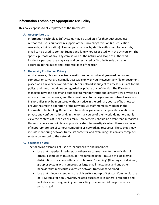## <span id="page-21-0"></span>**Information Technology Appropriate Use Policy**

This policy applies to all employees of the University.

#### <span id="page-21-1"></span>**A. Appropriate Use**

Information Technology (IT) systems may be used only for their authorized use. Authorized use is primarily in support of the University's mission (i.e., education, research, administration). Limited personal use by staff is authorized; for example, email can be used to contact friends and family not associated with the University. The specific purpose of any IT system as well as the nature and scope of authorized, incidental personal use may vary and be restricted by SHU in its sole discretion according to the duties and responsibilities of the user.

#### <span id="page-21-2"></span>**B. University Position on Privacy**

All documents, files and electronic mail stored on a University-owned networked computer or server are normally accessible only by you. However, any file or document placed on a University-owned computer or network is subject to access pursuant to this policy, and thus, should not be regarded as private or confidential. The IT system managers have the ability and authority to monitor traffic and directly view any file as it moves across the network, and they must do so to manage campus network resources. In short, files may be monitored without notice in the ordinary course of business to ensure the smooth operation of the network. All staff members working in the Information Technology Department have clear guidelines that prohibit violations of privacy and confidentiality and, in the normal course of their work, do not ordinarily view the contents of user files or email. However, you should be aware that authorized University personnel will take appropriate steps to investigate when there is a concern of inappropriate use of campus computing or networking resources. These steps may include monitoring network traffic, its contents, and examining files on any computer system connected to the network.

#### <span id="page-21-3"></span>**C. Specifics on Use**

The following examples of use are inappropriate and prohibited:

- Use that impedes, interferes, or otherwise causes harm to the activities of others. Examples of this include "resource hogging," misuse of global email distribution lists, chain letters, virus hoaxes, "bombing" (flooding an individual, group or system with numerous or large email messages), and any other behavior that may cause excessive network traffic or server load.
- Use that is inconsistent with the University's non-profit status. Commercial use of IT systems for non-university related purposes is in general prohibited and includes advertising, selling, and soliciting for commercial purposes or for personal gain.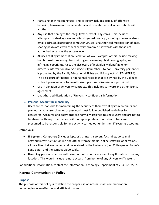- Harassing or threatening use. This category includes display of offensive behavior, harassment, sexual material and repeated unwelcome contacts with another.
- Any use that damages the integrity/security of IT systems. This includes attempts to defeat system security, disguised use (e.g., spoofing someone else's email address), distributing computer viruses, unauthorized modification of data, sharing passwords with others or system/admin passwords with those not authorized access as the system level.
- All uses of IT systems that are violation of law. Examples of this include making bomb threats; receiving, transmitting or possessing child pornography; and infringing copyrights. Also, the disclosure of individually identifiable nondirectory information (like Social Security numbers) to non-University personnel is protected by the Family Educational Rights and Privacy Act of 1974 (FERPA). The disclosure of financial or personnel records that are owned by the Colleges without permission or to unauthorized persons is likewise not permitted.
- Use in violation of University contracts. This includes software and other license agreements.
- Unauthorized distribution of University confidential information.

#### <span id="page-22-0"></span>**D. Personal Account Responsibility**

Users are responsible for maintaining the security of their own IT system accounts and passwords. Any user changes of password must follow published guidelines for passwords. Accounts and passwords are normally assigned to single users and are not to be shared with any other person without appropriate authorization. Users are presumed to be responsible for any activity carried out under their IT systems accounts.

#### **Definitions:**

- **IT Systems**: Computers (includes laptops), printers, servers, facsimiles, voice mail, network infrastructure, online and offline storage media, online software applications, all data files that are owned and maintained by the University (i.e., Colleague or Raiser's Edge data), and the campus video cable.
- **User:** Any person, whether authorized or not, who makes use of any IT system from any location. This would include remote access (from home) of any University IT system.

For additional information, contact the Information Technology Department at 203-365-7557.

## <span id="page-22-1"></span>**Internal Communication Policy**

#### <span id="page-22-2"></span>**Purpose**

The purpose of this policy is to define the proper use of internal mass communication technologies in an effective and efficient manner.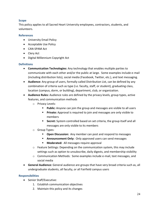#### <span id="page-23-0"></span>**Scope**

This policy applies to all Sacred Heart University employees, contractors, students, and volunteers.

#### <span id="page-23-1"></span>**References**

- University Email Policy
- Acceptable Use Policy
- CAN-SPAM Act
- Clery Act
- Digital Millennium Copyright Act

#### <span id="page-23-2"></span>**Definitions**

- **Communication Technologies:** Any technology that enables multiple parties to communicate with each other and/or the public at large. Some examples include e-mail (including distribution lists), social media (Facebook, Twitter, etc.), and text messaging.
- **Audience:** Any group of users, formally called Distribution List, can be defined by any combination of criteria such as type (i.e. faculty, staff, or student), graduating class, location (campus, dorm, or building), department, club, or organization.
- **Audience Rules:** Audience rules are defined by the privacy levels, group types, active features, and communication methods
	- o Privacy Levels:
		- Public: Anyone can join the group and messages are visible to all users
		- **Private:** Approval is required to join and messages are only visible to members
		- **Secret:** System controlled based on set criteria, the group itself and all messages are only visible to its members
	- o Group Types:
		- **Open Discussion:** Any member can post and respond to messages
		- **Announcement Only:** Only approved users can send messages
		- **Moderated:** All messages require approval
	- $\circ$  Feature Settings: Depending on the communication system, this may include settings such as option to unsubscribe, daily digests, and membership visibility
	- o Communication Methods: Some examples include e-mail, text messages, and social media
- **General Audience:** General audience are groups that have very broad criteria such as, all undergraduate students, all faculty, or all Fairfield campus users

#### <span id="page-23-3"></span>**Responsibilities**

- Senior Staff/Executive:
	- 1. Establish communication objectives
	- 2. Maintain this policy and its changes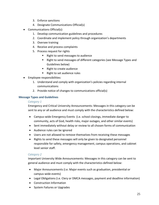- 3. Enforce sanctions
- 4. Designate Communications Official(s)
- Communications Official(s):
	- 1. Develop communication guidelines and procedures
	- 2. Coordinate and implement policy through organization's departments
	- 3. Oversee training
	- 4. Receive and process complaints
	- 5. Process request for rights
		- Right to send messages to audience
		- Right to send messages of different categories (see Message Types and Guidelines below)
		- Right to create audience
		- Right to set audience rules
- Employee responsibilities:
	- 1. Understand and comply with organization's policies regarding internal communications
	- 2. Provide notice of changes to communications official(s)

#### <span id="page-24-0"></span>**Message Types and Guidelines**

#### *Category 1*

Emergency and Critical University Announcements: Messages in this category can be sent to any or all audience and must comply with the characteristics defined below:

- Campus-wide Emergency Events (i.e. school closings, immediate danger to community, acts of God, health risks, major outages, and other similar events)
- Sent immediately without delay or review to all chosen forms of communication
- Audience rules can be ignored
- Users are not allowed to remove themselves from receiving these messages
- Rights to send these messages will only be given to designated personnel responsible for safety, emergency management, campus operations, and cabinet level senior staff.

#### *Category 2*

Important University Wide Announcements: Messages in this category can be sent to general audience and must comply with the characteristics defined below:

- Major Announcements (i.e. Major events such as graduation, presidential or campus-wide events)
- Legal Obligations (i.e. Clery or DMCA messages, payment and deadline information)
- Construction Information
- System Failures or Upgrades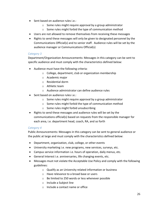- Sent based on audience rules *i.e.*:
	- $\circ$  Some rules might require approval by a group administrator
	- o Some rules might forbid the type of communication method
- Users are not allowed to remove themselves from receiving these messages
- Rights to send these messages will only be given to designated personnel by the Communications Official(s) and to senior staff. Audience rules will be set by the audience manager or Communications Official(s)

#### *Category 3*

Department/Organization Announcements: Messages in this category can be sent to specific audience and must comply with the characteristics defined below:

- Audience must have the following criteria:
	- o College, department, club or organization membership
	- o Academic major
	- o Residential dorm
	- o Athletic team
	- o Audience administrator can define audience rules
- Sent based on audience rules *i.e.*:
	- o Some rules might require approval by a group administrator
	- o Some rules might forbid the type of communication method
	- o Some rules might forbid unsubscribing
- Rights to send these messages and audience rules will be set by the communications official(s) based on requests from the responsible manager for each area, i.e. department head, coach, RA, and so forth

#### *Category 4*

Public Announcements: Messages in this category can be sent to general audience or the public at large and must comply with the characteristics defined below:

- Department, organization, club, college, or other events
- University marketing i.e. new programs, new services, surveys, etc.
- Campus service information i.e. hours of operation, daily menus, etc.
- General Interest i.e. anniversaries, life changing events, etc.
- Messages must not violate the Acceptable Use Policy and comply with the following guidelines:
	- o Qualify as an University related information or business
	- o Have relevance to a broad base or users
	- o Be limited to 250 words or less whenever possible
	- o Include a Subject line
	- $\circ$  Include a contact name or office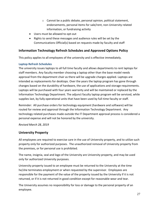- o Cannot be a public debate, personal opinion, political statement, endorsements, personal items for sale/rent, non-University related information, or fundraising activity
- Users must be allowed to opt-out
- Rights to send these messages and audience rules will be set by the Communications Official(s) based on requests made by faculty and staff

## <span id="page-26-0"></span>**Information Technology Refresh Schedules and Approved Options Policy**

This policy applies to all employees of the university and is effective immediately.

#### <span id="page-26-1"></span>**Laptop Refresh Schedules**

The university issues laptops to all full time faculty and allows departments to rent laptops for staff members. Any faculty member choosing a laptop other than the base model needs approval from the department chair as there will be upgrade charges applied. Laptops are intended as replacements for desktops. Over the years the laptop program has gone through changes based on the durability of hardware, the use of applications and storage requirements. Laptops will be purchased with four years warranty and will be maintained or replaced by the Information Technology Department. The adjunct faculty laptop program will be serviced, while supplies last, by fully operational units that have been used by full-time faculty or staff.

Reminder: All purchase orders for technology equipment (hardware and software) will be routed for review and approval through the Information Technology Department. Any technology related purchases made outside the IT Department approval process is considered a personal expense and will not be honored by the university.

*Revised March 28, 2019*

## <span id="page-26-2"></span>**University Property**

All employees are required to exercise care in the use of University property, and to utilize such property only for authorized purposes. The unauthorized removal of University property from the premises, or for personal use is prohibited.

The name, insignia, seal and logo of the University are University property, and may be used only for authorized University purposes.

University property issued to an employee must be returned to the University at the time he/she terminates employment or when requested by the supervisor. Employees are responsible for the payment of the value of the property issued by the University if it is not returned, or if it is not returned in good condition except for reasonable wear and tear.

The University assumes no responsibility for loss or damage to the personal property of an employee.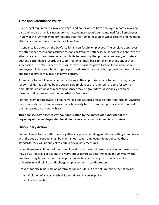## <span id="page-27-0"></span>**Time and Attendance Policy**

Due to legal requirements involving wages and hours, and to have employee records involving paid and unpaid time, it is necessary that attendance records be maintained for all employees. In view of this, University policy requires that the Human Resources Office receive and maintain attendance and absence records for all employees.

Attendance is tracked on the Dayforce for all non-faculty employees. The employee approves the attendance record and assumes responsibility for truthfulness. Supervisors will approve the attendance record and assume responsibility for ensuring that properly prepared, accurate and authentic attendance records are submitted on a timely basis for all employees under their supervision. The attendance record will form the basis for payroll action for all non-exempt employees. Failure to submit properly prepared attendance records approved by the employee and the supervisor may result in payroll errors.

Attendance for employees is defined as being in the appropriate place to perform his/her job responsibilities as defined by the supervisor. Employees are required to report for work on time. Habitual tardiness or recurring absences may be grounds for disciplinary action or dismissal. All absences must be recorded on Dayforce.

For non-exempt employees, all hours worked and absences must be reported through Dayforce on a bi-weekly record and approved on a bi-weekly basis. Exempt employees need to report their absences on a monthly basis.

**Three consecutive absences without notification to the immediate supervisor at the beginning of the employee shift/work hours may be cause for immediate dismissal.**

## <span id="page-27-1"></span>**Disciplinary Action**

For employees to work effectively together in a professional organizational setting, compliance with the code of conduct must be maintained. When employees do not observe these standards, they will be subject to certain disciplinary measures.

When there are violations of the code of conduct by the employee, suspension or termination may be warranted. For actions of a very serious nature as determined by the University, the employee may be warned or discharged immediately depending on the violation. The University may discipline or discharge employees at its sole discretion.

Grounds for disciplinary action or termination include, but are not limited to, the following:

- Violation of any established Sacred Heart University policy
- Insubordination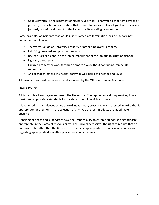• Conduct which, in the judgment of his/her supervisor, is harmful to other employees or property or which is of such nature that it tends to be destructive of good will or causes jeopardy or serious discredit to the University, its standing or reputation.

Some examples of incidents that would justify immediate termination include, but are not limited to the following:

- Theft/destruction of University property or other employees' property
- Falsifying timecards/employment records
- Use of drugs or alcohol on the job or impairment of the job due to drugs or alcohol
- Fighting, threatening
- Failure to report for work for three or more days without contacting immediate supervisor
- An act that threatens the health, safety or well-being of another employee

All terminations must be reviewed and approved by the Office of Human Resources.

## <span id="page-28-0"></span>**Dress Policy**

All Sacred Heart employees represent the University. Your appearance during working hours must meet appropriate standards for the department in which you work.

It is required that employees arrive at work neat, clean, presentable and dressed in attire that is appropriate for their job. In the selection of any type of dress, modesty and good taste governs.

Department heads and supervisors have the responsibility to enforce standards of good taste appropriate in their area of responsibility. The University reserves the right to require that an employee alter attire that the University considers inappropriate. If you have any questions regarding appropriate dress attire please see your supervisor.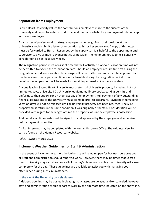## <span id="page-29-0"></span>**Separation from Employment**

Sacred Heart University values the contributions employees make to the success of the University and hopes to foster a productive and mutually satisfactory employment relationship with each employee.

As a matter of professional courtesy, employees who resign from their position at the University should submit a letter of resignation to his or her supervisor. A copy of this letter must be forwarded to Human Resources by the supervisor. It is helpful to the department and supervisor to give as much advance notice as possible. The minimum notice time is generally considered to be at least two weeks.

The resignation period must consist of time that will actually be worked. Vacation time will not be permitted to extend the termination date. Should an employee require time off during the resignation period, only vacation time usage will be permitted and must first be approved by the Supervisor. Use of personal time is not allowable during the resignation period. Upon termination, no payment will be made for remaining accrued sick or personal days.

Anyone leaving Sacred Heart University must return all University property including, but not limited to, keys, University I.D., University equipment, library books, parking permits and uniforms to their supervisor on their last day of employment. Full payment of any outstanding financial obligations to the University must be made prior to departure. Payment of remaining vacation days will not be released until all university property has been returned. The SHU property must return in the same condition it was originally disbursed. Consideration will be provided with regard to the length of time the property was in the employee's possession.

Additionally, all time cards must be signed off and approved by the employee and supervisor before payment is remitted.

An Exit Interview may be completed with the Human Resource Office. The exit interview form can be found on the Human Resources website.

#### *Policy Revision March 2015*

## <span id="page-29-1"></span>**Inclement Weather Guidelines for Staff & Administration**

In the event of inclement weather, the University will remain open for business purposes and all staff and administration should report to work. However, there may be times that Sacred Heart University may cancel some or all of the day's classes or possibly the University will close completely for the day. These guidelines are available to assist you with managing your attendance during such circumstances.

#### <span id="page-29-2"></span>**In the event the University cancels classes**

A delayed opening may be posted indicating that classes are delayed and/or canceled, however staff and administration should report to work by the alternate time indicated on the snow line.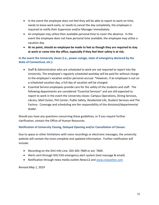- In the event the employee does not feel they will be able to report to work on time, needs to leave work early, or needs to cancel the day completely, the employee is required to notify their Supervisor and/or Manager immediately.
- An employee may utilize their available personal time to cover the absence. In the event the employee does not have personal time available, the employee may utilize a vacation day.
- **At no point, should an employee be made to feel as though they are required to stay at work or come into the office, especially if they feel their safety is at risk.**

<span id="page-30-0"></span>**In the event the University closes (i.e., power outage, state of emergency declared by the State of Connecticut, etc.):**

- Staff & Administration who are scheduled to work are not required to report into the University. The employee's regularly scheduled workday will be paid for without charge to the employee's vacation and/or personal accrual. \*However, if an employee is out on a scheduled vacation day, a full day of vacation will be charged.
- Essential Service employees provide care for the safety of the students and staff. The following departments are considered "Essential Services" and are still expected to report to work in the event the University closes: Campus Operations, Dining Services, Library, Mail Center, Pitt Center, Public Safety, Residential Life, Student Services and The Factory. Coverage and scheduling are the responsibility of the divisional/departmental leader.

Should you have any questions concerning these guidelines, or if you require further clarification, contact the Office of Human Resources.

## <span id="page-30-1"></span>**Notification of University Closing, Delayed Opening and/or Cancellation of Classes:**

Due to space or other limitations with voice recordings or electronic messages, the university website will contain the most complete and updated information. Further notification will include:

- Recording on the SHU Info Line: 203-365-7669 or ext. 7669.
- Alerts sent through SHU EAS emergency alert system (text message & email).
- Notification through news media outlets News12 and [www.ctweather.com](http://www.ctweather.com/)

<span id="page-30-2"></span>*Revised May 1, 2019*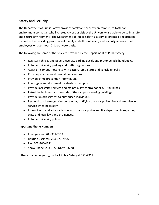## **Safety and Security**

The Department of Public Safety provides safety and security on campus, to foster an environment so that all who live, study, work or visit at the University are able to do so in a safe and secure environment. The Department of Public Safety is a service-oriented department committed to providing professional, timely and efficient safety and security services to all employees on a 24-hour, 7-day-a-week basis.

The following are some of the services provided by the Department of Public Safety:

- Register vehicles and issue University parking decals and motor vehicle handbooks.
- Enforce University parking and traffic regulations.
- Assist on-campus motorists with battery jump-starts and vehicle unlocks.
- Provide personal safety escorts on campus.
- Provide crime prevention information.
- Investigate and document incidents on campus.
- Provide locksmith services and maintain key control for all SHU buildings.
- Patrol the buildings and grounds of the campus, securing buildings.
- Provide unlock services to authorized individuals.
- Respond to all emergencies on campus, notifying the local police, fire and ambulance service when necessary.
- Interact with and act as a liaison with the local police and fire departments regarding state and local laws and ordinances.
- Enforce University policies

#### **Important Phone Numbers:**

- Emergencies: 203-371-7911
- Routine Business: 203-371-7995
- Fax: 203-365-4781
- Snow Phone: 203-365-SNOW (7669)

<span id="page-31-0"></span>If there is an emergency, contact Public Safety at 371-7911.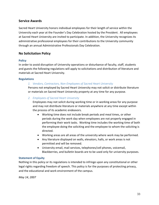## **Service Awards**

Sacred Heart University honors individual employees for their length of service within the University each year at the Founder's Day Celebration hosted by the President. All employees at Sacred Heart University are invited to participate. In addition, the University recognizes its administrative professional employees for their contributions to the University community through an annual Administrative Professionals Day Celebration.

## <span id="page-32-0"></span>**No Solicitation Policy**

#### <span id="page-32-1"></span>**Policy**

In order to avoid disruption of University operations or disturbance of faculty, staff, students and guests the following regulations will apply to solicitations and distribution of literature and materials at Sacred Heart University.

#### <span id="page-32-2"></span>**Regulations**

#### *1. Vendors, Contractors, Non-Employees of Sacred Heart University*

Persons not employed by Sacred Heart University may not solicit or distribute literature or materials on Sacred Heart University property at any time for any purpose.

#### *2. Employees of Sacred Heart University*

Employees may not solicit during working time or in working areas for any purpose and may not distribute literature or materials anywhere at any time except within the process of its academic endeavors.

- Working time does not include break periods and meal times, or other periods during the work day when employees are not properly engaged in performing their work tasks. Working time includes the working time of both the employee doing the soliciting and the employee to whom the soliciting is directed.
- Working areas are all areas of the university where work may be performed.
- Any literature displayed on walls, elevators, halls, or work areas is not permitted and will be removed.
- University email, mail services, telephones/cell phones, voicemail, Blackberries, and bulletin boards are to be used only for university purposes.

#### <span id="page-32-3"></span>**Statement of Equity**

Nothing in this policy or its regulations is intended to infringe upon any constitutional or other legal rights regarding freedom of speech. This policy is for the purposes of protecting privacy, and the educational and work environment of the campus.

<span id="page-32-4"></span>*May 14, 2007*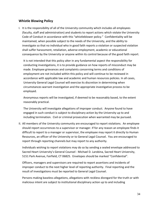## **Whistle Blowing Policy**

I. It is the responsibility of all of the University community which includes all employees (faculty, staff and administration) and students to report actions which violate the University Code of Conduct in accordance with this "whistleblower policy." Confidentiality will be maintained, when possible subject to the needs of the University, and the ability to investigate so that no individual who in good faith reports a violation or suspected violation shall suffer harassment, retaliation, adverse employment, academic or educational consequence by the University or anyone within its control because of the good faith report.

It is not intended that this policy alter in any fundamental aspect the responsibility for conducting investigations, it is to provide guidance on how reports of misconduct may be made. Employee grievances and complaints concerning terms and conditions of employment are not included within this policy and will continue to be reviewed in accordance with applicable law and academic and human resources policies. In all cases, University General Legal Counsel will exercise its discretion in determining when circumstances warrant investigation and the appropriate investigative process to be employed.

Anonymous reports will be investigated, if deemed to be reasonably based, to the extent reasonably practical.

The University will investigate allegations of improper conduct. Anyone found to have engaged in such conduct is subject to disciplinary action by the University up to and including termination. Civil or criminal prosecution when warranted may be pursued.

II. All members of the University community are encouraged to report violations. An employee should report occurrences to a supervisor or manager. If for any reason an employee finds it difficult to report to a manager or supervisor, the employee may report it directly to Human Resources, an officer of the University or to General Legal Counsel. You are encouraged to report through reporting channels but may report to any authority.

Individuals wishing to report violations may do so by sending a sealed envelope addressed to Sacred Heart University's General Counsel - Michael D. Larobina, Sacred Heart University, 5151 Park Avenue, Fairfield, CT 06825. Envelopes should be marked "Confidential".

Officers, managers and supervisors are required to report assertions and incidents of improper conduct to the next higher level of reporting authority. Final reporting and the result of investigations must be reported to General Legal Counsel.

Persons making baseless allegations, allegations with reckless disregard for the truth or with malicious intent are subject to institutional disciplinary action up to and including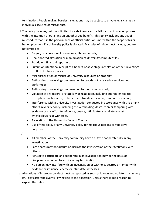termination. People making baseless allegations may be subject to private legal claims by individuals accused of misconduct.

- III. The policy includes, but is not limited to, a deliberate act or failure to act by an employee with the intention of obtaining an unauthorized benefit. This policy includes any act of misconduct that is in the performance of official duties or is not within the scope of his or her employment if a University policy is violated. Examples of misconduct include, but are not limited to:
	- Forgery or alteration of documents, files or records;
	- Unauthorized alteration or manipulation of University computer files;
	- Fraudulent financial reporting;
	- Pursuit or intentional receipt of a benefit or advantage in violation of the University's conflict of interest policy;
	- Misappropriation or misuse of University resources or property;
	- Authorizing or receiving compensation for goods not received or services not performed;
	- Authorizing or receiving compensation for hours not worked;
	- Violation of any federal or state law or regulation, including but not limited to; corruption, malfeasance, bribery, theft, fraudulent claims, fraud or conversion;
	- Interference with a University investigation conducted in accordance with this or any other University policy, including the withholding, destruction or tampering with evidence or any effort to influence, coerce, intimidate or retaliate against whistleblowers or witnesses.
	- A violation of the University Code of Conduct;
	- Use of this policy or any University policy for malicious reasons or vindictive purposes.

IV.

- All members of the University community have a duty to cooperate fully in any investigation.
- Participants may not discuss or disclose the investigation or their testimony with others.
- Refusal to participate and cooperate in an investigation may be the basis of disciplinary action up to and including termination.
- No person may interfere with an investigation or withhold, destroy or tamper with evidence or influence, coerce or intimidate witnesses.
- V. Allegations of improper conduct must be reported as soon as known and no later than ninety (90) days after the event(s) giving rise to the allegation, unless there is good reason to explain the delay.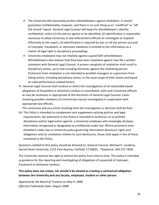- The University will reasonably protect whistleblowers against retaliation. It cannot guarantee confidentiality, however, and there is no such thing as an "unofficial" or "off the record" report. General Legal Counsel will keep the whistleblower's identity confidential, unless (1) the person agrees to be identified; (2) identification is reasonably necessary to allow University or law enforcement officials to investigate or respond effectively to the report; (3) identification is required by law; or (4) the person accused of improper, fraudulent, or dishonest violations is entitled to the information as a matter of legal right in disciplinary proceedings.
- University employees may not retaliate against a good faith whistleblower. Whistleblowers who believe that they have been retaliated against may file a written complaint with General Legal Counsel. A proven complaint of retaliation shall result in disciplinary action, up to and including dismissal, against the retaliating person. Protection from retaliation is not intended to prohibit managers or supervisors from taking action, including disciplinary action, in the usual scope of their duties and based on valid performance-related factors.
- VI. General Legal Counsel shall conduct or direct the investigations of all reasonably based allegations of fraudulent or dishonest conduct in consultation with such University officials as may be necessary or appropriate at the discretion of General Legal Counsel. Cases involving possible violations of criminal law may be investigated in cooperation with appropriate law officials.

The conclusion and any action resulting from the investigation or decision shall be final.

VII. This Policy is intended to complement and supplement existing policies and legal requirements. No statement in this Policy is intended to authorize, or to prohibit disciplinary and/or legal action against, a University employee who knowingly discloses information recognized or designated as confidential under law. Where provisions exist elsewhere under law or University policy governing information disclosure rights and obligations and /or retaliation relative to such disclosures, those shall apply in lieu of those contained in this Policy.

Questions related to this policy should be directed to: General Counsel, Michael D. Larobina, Sacred Heart University, 5151 Park Avenue, Fairfield, CT 06825. Telephone: 203-371-7859.

The University reserves the right to amend this policy from time to time. This policy is intended as guidance for the reporting and investigating of allegations of suspected of improper, fraudulent or dishonest conduct.

**This policy does not create, nor should it be viewed as creating a contractual obligation between the University and any faculty, employee, student or other person.**

*Approved by the Board of Trustees on May 9, 2008 Effective Publication Date: August 2008*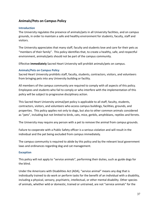## <span id="page-36-0"></span>**Animals/Pets on Campus Policy**

#### <span id="page-36-1"></span>**Introduction**

The University regulates the presence of animals/pets in all University facilities, and on campus grounds, in order to maintain a safe and healthy environment for students, faculty, staff and visitors.

The University appreciates that many staff, faculty and students love and care for their pets as "members of their family". This policy identifies that, to create a healthy, safe, and respectful environment, animals/pets should not be part of the campus community.

Effective **immediately** Sacred Heart University will prohibit animals/pets on campus.

#### <span id="page-36-2"></span>**Animals/Pets on Campus Policy**

Sacred Heart University prohibits staff, faculty, students, contractors, visitors, and volunteers from bringing pets into any University building or facility.

All members of the campus community are required to comply with all aspects of this policy. Employees and students who fail to comply or who interfere with the implementation of this policy will be subject to progressive disciplinary action.

This Sacred Heart University animal/pet policy is applicable to all staff, faculty, students, contractors, visitors, and volunteers who access campus buildings, facilities, grounds, and properties. This policy applies not only to dogs, but also to other common animals considered as "pets", including but not limited to birds, cats, mice, gerbils, amphibians, reptiles and ferrets.

The University may require any person with a pet to remove the animal from campus grounds.

Failure to cooperate with a Public Safety officer is a serious violation and will result in the individual and the pet being excluded from campus immediately.

The campus community is required to abide by this policy and by the relevant local government laws and ordinances regarding dog and cat management.

#### <span id="page-36-3"></span>**Exception**

This policy will not apply to "service animals", performing their duties, such as guide dogs for the blind.

Under the Americans with Disabilities Act (ADA), "service animal" means any dog that is individually trained to do work or perform tasks for the benefit of an individual with a disability, including a physical, sensory, psychiatric, intellectual, or other mental disability. Other species of animals, whether wild or domestic, trained or untrained, are not "service animals" for the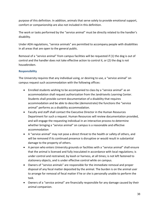purpose of this definition. In addition, animals that serve solely to provide emotional support, comfort or companionship are also not included in this definition.

The work or tasks performed by the "service animal" must be directly related to the handler's disability.

Under ADA regulations, "service animals" are permitted to accompany people with disabilities in all areas that are open to the general public.

Removal of a "service animal" from campus facilities will be requested if (1) the dog is out of control and the handler does not take effective action to control it, or (2) the dog is not housebroken.

## <span id="page-37-0"></span>**Responsibility**

The University requires that any individual using, or desiring to use, a "service animal" on campus request such accommodation with the following offices:

- Enrolled students wishing to be accompanied to class by a "service animal" as an accommodation shall request authorization from the Jandrisevits Learning Center. Students shall provide current documentation of a disability that requires accommodation and be able to describe (demonstrate) the functions the "service animal" performs as a disability accommodation.
- Faculty and staff shall contact the Executive Director in the Human Resources Department for such a request. Human Resources will review documentation provided, and will engage the requesting individual in an interactive process to determine whether bringing a "service animal" on campus is a reasonable and effective accommodation
- A "service animal" may not pose a direct threat to the health or safety of others, and will be removed if its continued presence is disruptive or would result in substantial damage to the property of others.
- A person who enters University grounds or facilities with a "service animal" shall ensure that the animal is licensed and fully inoculated in accordance with local regulations; is under control and restrained, by leash or harness, at all times; is not left fastened to stationery objects, and is under effective control while on campus.
- Owners of "service animals" are responsible for the immediate removal and proper disposal of any fecal matter deposited by the animal. The burden is on the animal user to arrange for removal of fecal matter if he or she is personally unable to perform the task.
- Owners of a "service animal" are financially responsible for any damage caused by their animal companion.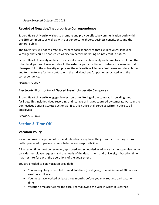*Policy Executed October 17, 2013*

## <span id="page-38-0"></span>**Receipt of Negative/Inappropriate Correspondence**

Sacred Heart University wishes to promote and provide effective communication both within the SHU community as well as with our vendors, neighbors, business constituents and the general public.

The University will not tolerate any form of correspondence that exhibits vulgar language, verbiage that could be construed as discriminatory, harassing or intolerant in nature.

Sacred Heart University wishes to resolve all concerns objectively and come to a resolution that is fair to all parties. However, should the external party continue to behave in a manner that is disrespectful to the university employee, the university will issue a final cease and desist letter and terminate any further contact with the individual and/or parties associated with the correspondence.

*February 7, 2017*

## <span id="page-38-1"></span>**Electronic Monitoring of Sacred Heart University Campuses**

Sacred Heart University engages in electronic monitoring of the campus, its buildings and facilities. This includes video recording and storage of images captured by cameras. Pursuant to Connecticut General Statute Section 31-48d, this notice shall serve as written notice to all employees.

*February 5, 2018*

## <span id="page-38-2"></span>**Section 3: Time Off**

## <span id="page-38-3"></span>**Vacation Policy**

Vacation provides a period of rest and relaxation away from the job so that you may return better prepared to perform your job duties and responsibilities.

All vacation time must be reviewed, approved and scheduled in advance by the supervisor, who considers employee requests and the needs of the department and University. Vacation time may not interfere with the operations of the department.

You are entitled to paid vacation provided:

- You are regularly scheduled to work full-time (fiscal year), or a minimum of 20 hours a week in a full year.
- You must have worked at least three months before you may request paid vacation time.
- Vacation time accrues for the fiscal year following the year in which it is earned.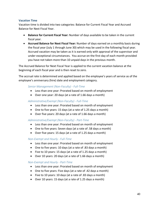#### <span id="page-39-0"></span>**Vacation Time**

Vacation time is divided into two categories: Balance for Current Fiscal Year and Accrued Balance for Next Fiscal Year.

- **Balance for Current Fiscal Year:** Number of days available to be taken in the current fiscal year.
- **Accrued Balance for Next Fiscal Year:** Number of days earned on a monthly basis during the fiscal year (July 1 through June 30) which may be used in the following fiscal year. Accrued vacation may be taken as it is earned only with approval of the supervisor and under exceptional circumstances. You accrue on the first day of each month provided you have not taken more than 10 unpaid days in the previous month.

The Accrued Balance for Next Fiscal Year is applied to the current vacation balance at the beginning of each fiscal year and is then reset to zero.

The accrual rate is determined and applied based on the employee's years of service as of the employee's anniversary (hire) date and employment category.

#### *Senior Management (Non-Faculty) - Full-Time*

- Less than one year: Prorated based on month of employment
- Over one year: 20 days (at a rate of 1.66 days a month)

#### *Administrative/Exempt (Non-Faculty) - Full-Time*

- Less than one year: Prorated based on month of employment
- One to five years: 15 days (at a rate of 1.25 days a month)
- Over five years: 20 days (at a rate of 1.66 days a month)

#### *Administrative/Exempt (Non-Faculty) - Part-Time*

- Less than one year: Prorated based on month of employment
- One to five years: Seven days (at a rate of .58 days a month)
- Over five years: 15 days (at a rate of 1.25 days a month)

#### *Non-Exempt and Hourly - Full-Time*

- Less than one year: Prorated based on month of employment
- One to five years: 10 days (at a rate of .83 days a month)
- Five to 10 years: 15 days (at a rate of 1.25 days a month)
- Over 10 years: 20 days (at a rate of 1.66 days a month)

#### *Non-Exempt and Hourly - Part-Time*

- Less than one year: Prorated based on month of employment
- One to five years: Five days (at a rate of .42 days a month)
- Five to 10 years: 10 days (at a rate of .83 days a month)
- Over 10 years: 15 days (at a rate of 1.25 days a month)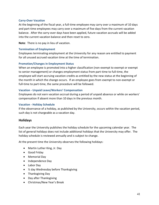#### <span id="page-40-0"></span>**Carry-Over Vacation**

At the beginning of the fiscal year, a full-time employee may carry over a maximum of 10 days and part-time employees may carry over a maximum of five days from the current vacation balance. After the carry-over days have been applied, future vacation accruals will be added into the current vacation balance and then reset to zero.

**Note**: There is no pay in lieu of vacation.

#### <span id="page-40-1"></span>**Termination of Employment**

Employees terminating employment at the University for any reason are entitled to payment for all unused accrued vacation time at the time of termination.

#### <span id="page-40-2"></span>**Promotion/Changes in Employment Status**

When an employee is promoted into a higher classification (non-exempt to exempt or exempt to senior management) or changes employment status from part-time to full-time, the employee will start accruing vacation credits as entitled by the new status at the beginning of the month in which the change occurs. If an employee goes from exempt to non-exempt or full-time to part-time, the same procedure will be followed.

#### <span id="page-40-3"></span>**Vacation - Unpaid Leave/Workers' Compensation**

Employees do not earn vacation accrual during a period of unpaid absence or while on workers' compensation if absent more than 10 days in the previous month.

#### <span id="page-40-4"></span>**Vacation - Holiday Schedule**

If the observance of a holiday, as published by the University, occurs within the vacation period, such day is not chargeable as a vacation day.

## <span id="page-40-5"></span>**Holidays**

Each year the University publishes the holiday schedule for the upcoming calendar year. The list of general holidays does not include additional holidays that the University may offer. The holiday schedule is reviewed annually and is subject to change.

At the present time the University observes the following holidays:

- Martin Luther King, Jr. Day
- Good Friday
- Memorial Day
- Independence Day
- Labor Day
- ½ day Wednesday before Thanksgiving
- Thanksgiving Day
- Day after Thanksgiving
- Christmas/New Year's Break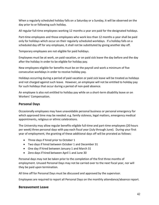When a regularly scheduled holiday falls on a Saturday or a Sunday, it will be observed on the day prior to or following such holiday.

All regular full-time employees working 12 months a year are paid for the designated holidays.

Part-time employees and those employees who work less than 12 months a year shall be paid only for holidays which occur on their regularly scheduled workdays. If a holiday falls on a scheduled day off for any employee, it shall not be substituted by giving another day off.

Temporary employees are not eligible for paid holidays.

Employees must be at work, on paid vacation, or on paid sick leave the day before and the day after the holiday in order to be eligible for holiday pay.

New employees eligible for benefits must be on the payroll and work a minimum of five consecutive workdays in order to receive holiday pay.

Holidays occurring during a period of paid vacation or paid sick leave will be treated as holidays and not charged against such leave. However, an employee will not be entitled to holiday pay for such holidays that occur during a period of non-paid absence.

An employee is also not entitled to holiday pay while on a short-term disability leave or on Workers' Compensation.

## <span id="page-41-0"></span>**Personal Days**

Occasionally employees may have unavoidable personal business or personal emergency for which approved time may be needed: e.g. family sickness, legal matters, emergency medical appointments, religious or ethnic celebrations.

The University may allow regular benefits-eligible full-time and part-time employees (20 hours per week) three personal days with pay each fiscal year (July through June). During your first year of employment, the granting of these additional days off will be prorated as follows:

- Three days if hired prior to October 1
- Two days if hired between October 1 and December 31
- One day if hired between January 1 and March 31
- Zero days if hired between April 1 and June 30

Personal days may not be taken prior to the completion of the first three months of employment. Unused Personal Days may not be carried over to the next fiscal year, nor will they be paid upon termination.

All time off for Personal Days must be discussed and approved by the supervisor.

Employees are required to report all Personal Days on the monthly attendance/absence report.

## <span id="page-41-1"></span>**Bereavement Leave**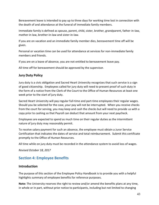Bereavement leave is intended to pay up to three days for working time lost in connection with the death of and attendance at the funeral of immediate family members.

Immediate family is defined as spouse, parent, child, sister, brother, grandparent, father-in-law, mother-in law, brother-in-law and sister-in-law.

If you are on vacation and an immediate family member dies, bereavement time off will be given.

Personal or vacation time can be used for attendance at services for non-immediate family members and friends.

If you are on a leave of absence, you are not entitled to bereavement leave pay.

All time off for bereavement should be approved by the supervisor.

## <span id="page-42-0"></span>**Jury Duty Policy**

Jury duty is a civic obligation and Sacred Heart University recognizes that such service is a sign of good citizenship. Employees called for jury duty will need to present proof of such duty in the form of a notice from the Clerk of the Court to the Office of Human Resources at least one week prior to the start of jury duty.

Sacred Heart University will pay regular full-time and part-time employees their regular wages. Should you be selected for the case, your pay will not be interrupted. When you receive checks from the court for serving, you may keep and cash the checks but will need to provide us with a copy prior to cashing so that Payroll can deduct that amount from your next paycheck.

Employees are expected to spend as much time on their regular duties as the intermittent nature of jury duty may reasonably permit.

To receive salary payment for such an absence, the employee must obtain a Juror Service Certification that indicates the dates of service and total reimbursement. Submit this certificate promptly to the Office of Human Resources.

All time while on jury duty must be recorded in the attendance system to avoid loss of wages.

*Revised October 18, 2017*

## <span id="page-42-1"></span>**Section 4: Employee Benefits**

## <span id="page-42-2"></span>**Introduction**

The purpose of this section of the Employee Policy Handbook is to provide you with a helpful highlights summary of employee benefits for reference purposes.

**Note:** The University reserves the right to review and/or amend the benefits plans at any time, in whole or in part, without prior notice to participants, including but not limited to changing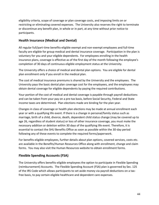eligibility criteria, scope of coverage or plan coverage costs, and imposing limits on or restricting or eliminating covered expenses. The University also reserves the right to terminate or discontinue any benefit plan, in whole or in part, at any time without prior notice to participants.

## <span id="page-43-0"></span>**Health Insurance (Medical and Dental)**

All regular full/part-time benefits-eligible exempt and non-exempt employees and full-time faculty are eligible for group medical and dental insurance coverage. Participation in the plan is voluntary for you and your eligible dependents. For employees enrolling in the health insurance plans, coverage is effective as of the first day of the month following the employee's completion of 30 days of continuous eligible employment status at the University.

The University offers a choice of medical and dental plan options. You are eligible for dental plan enrollment only if you enroll in the medical plan.

The cost of medical insurance premiums is shared by the University and the employees. The University pays the basic dental plan coverage cost for the employees, and the employees may obtain dental coverage for eligible dependents by paying the required contributions.

Your portion of the cost of medical and dental coverage is payable through payroll deductions and can be taken from your pay on a pre-tax basis, before Social Security, Federal and State income taxes are determined. Plan elections made are binding for the plan year.

Changes in class of coverage or health plan elections may be made at annual enrollment each year or with a qualifying life event. If there is a change in personal/family status such as marriage, birth of a child, divorce, death, dependent child status change (may be covered up to age 26, regardless of student status) or loss of other insurance coverage, you must make the necessary addition or deletion within 30 days of the qualifying life event. Therefore, it is essential to contact the SHU Benefits Office as soon as possible within the 30-day period following any of these events to complete the required forms/paperwork.

For benefits-eligible employees, further details about plan options, covered services, costs etc. are available in the Benefits/Human Resources Office along with enrollment, change and claim forms. You may also visit the Human Resources website to obtain enrollment forms.

## <span id="page-43-1"></span>**Flexible Spending Accounts (FSA)**

The University offers benefits-eligible employees the option to participate in Flexible Spending (reimbursement) Accounts. The Flexible Spending Account (FSA) plan is governed by Sec. 125 of the IRS Code which allows participants to set aside money via payroll deductions on a taxfree basis, to pay certain eligible healthcare and dependent care expenses.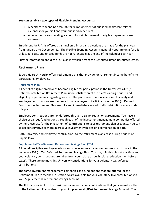#### **You can establish two types of Flexible Spending Accounts:**

- A healthcare spending account, for reimbursement of qualified healthcare related expenses for yourself and your qualified dependents;
- A dependent care spending account, for reimbursement of eligible dependent care expenses.

Enrollment for FSAs is offered at annual enrollment and elections are made for the plan year from January 1 to December 31. The Flexible Spending Accounts generally operate on a "use-it or lose-it" basis, and unused funds are not refundable at the end of the calendar plan year.

Further information about the FSA plan is available from the Benefits/Human Resources Office.

## <span id="page-44-0"></span>**Retirement Plans**

Sacred Heart University offers retirement plans that provide for retirement income benefits to participating employees.

#### <span id="page-44-1"></span>**Retirement Plan**

All benefits-eligible employees become eligible for participation in the University's 403 (b) Defined Contribution Retirement Plan, upon satisfaction of the plan's waiting periods and eligibility requirements regarding service. The plan's contribution levels for University and employee contributions are the same for all employees. Participants in the 403 (b) Defined Contribution Retirement Plan are fully and immediately vested in all contributions made under this plan.

Employee contributions are tax-deferred through a salary reduction agreement. You have a choice of various fund options through each of the investment management companies offered by the University for the investment of contributions to your retirement plan accounts. You can select conservative or more aggressive investment vehicles or a combination of both.

Both University and employee contributions to the retirement plan cease during periods of unpaid leave.

#### <span id="page-44-2"></span>**Supplemental Tax-Deferred Retirement Savings Plan (TDA)**

All benefits-eligible employees who want to save money for retirement may participate in the voluntary 403 (b) Tax-Deferred Retirement Savings Plan. You may join this plan at any time and your voluntary contributions are taken from your salary through salary reduction (i.e., before taxes). There are no matching University contributions for your voluntary tax-deferred contributions.

The same investment management companies and fund options that are offered for the Retirement Plan (described in Section A) are available for your voluntary TDA contributions to your Supplemental Retirement Savings Account.

The IRS places a limit on the maximum salary reduction contributions that you can make either to the Retirement Plan and/or to your Supplemental (TDA) Retirement Savings Account. The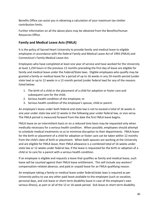Benefits Office can assist you in obtaining a calculation of your maximum tax-shelter contribution limits.

Further information on all the above plans may be obtained from the Benefits/Human Resources Office.

## <span id="page-45-0"></span>**Family and Medical Leave Acts (FMLA)**

It is the policy of Sacred Heart University to provide family and medical leave to eligible employees in accordance with the federal Family and Medical Leave Act of 1993 (FMLA) and Connecticut's Family Medical Leave Act.

Employees who have completed at least one year of service and have worked for the University at least 1,250 hours in the previous 12 months preceding the first day of leave are eligible for family and medical leave under the Federal/State laws. Eligible employees who qualify may be granted a family or medical leave for a period of up to 16 weeks in any 24-month period (under state law) or up to 12 weeks in a 12-month period (under federal law) for any of the reasons listed below:

- 1. The birth of a child or the placement of a child for adoption or foster care and subsequent care for the child;
- 2. Serious health condition of the employee; or
- 3. Serious health condition of the employee's spouse, child or parent.

An employee's leave under both federal and state law is not to exceed a total of 16 weeks in one year under state law and 12 weeks in the following year under federal law, or vice versa. The FMLA period is measured forward from the date the first FMLA leave begins.

FMLA leave on an intermittent basis or on a reduced time basis may be requested only when medically necessary for a serious health condition. When possible, employees should attempt to schedule medical treatments so as to minimize disruption to their departments. FMLA leave for the birth or placement of a child for adoption or foster care can be taken within 12 months from the child's date of birth or placement. When both spouses are working at the University and are eligible for FMLA leave, their FMLA allowance is a combined total of 16 weeks under state law or 12 weeks under federal law, if the leave is requested for the birth or adoption of a child or to care for a parent with a serious health condition.

If an employee is eligible and requests a leave that qualifies as family and medical leave, such leave will be counted against their FMLA leave entitlement. This will include any workers' compensation-related absence, and paid or unpaid leave for an FMLA qualifying reason.

An employee taking a family or medical leave under federal/state laws is required as per University policy to use any other paid leave available to the employee (such as vacation, personal days, and sick leave or short-term disability leave in case of the employee's own serious illness), as part or all of the 12 or 16-week period. Sick leave or short-term disability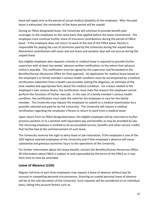leave will apply only to the period of actual medical disability of the employee. After the paid leave is exhausted, the remainder of the leave period will be unpaid.

During an FMLA designated leave, the University will continue to provide benefit plan coverages to the employee on the same basis that applied before the leave commenced. The employee must continue his/her share of insurance contributions during the period of FMLA leave. If the employee does not return to work at the end of the FMLA leave, he/she is responsible for paying the cost of premiums paid by the University during the unpaid leave. Retirement contributions will cease and sick leave and vacation days will not accrue during the unpaid leave.

Any eligible employee who requests a family or medical leave is required to provide his/her supervisor with at least two weeks' advance written notification, to the extent that advance notice is possible. This notification must be signed by the supervisor and forwarded to the Benefits/Human Resources Office for final approval. An application for medical leave based on the employee's or family member's serious health condition must be accompanied by a medical certification statement from a health care provider stating the diagnosis, an estimate of the time needed and appropriate facts about the medical condition. For a leave related to the employee's own serious illness, the certification must state the reasons the employee cannot perform the functions of his/her own job. In the case of a family member's serious health condition, the certification must state the need for the employee to care for the family member. The University may request the employee to submit to a medical examination by a provider selected and paid for by the University. The University will require a medical certification regarding the employee's fitness to return to work from a medical leave.

Upon return from an FMLA designated leave, the eligible employee will be returned to his/her previous position or to a position with equivalent pay and benefits as may be provided by law. The returning employee is entitled to all accumulated service, benefits and other service credits that he/she had at the commencement of such leave.

The University reserves the right to deny leave or job restoration, if the employee is one of the 10% highest-salaried employees of the University and if that employee's absence will cause substantial and grievous economic injury to the operations of the University.

For further information about this leave benefit, contact the Benefits/Human Resources Office. All information about FMLA is subject to and superseded by the terms of the FMLA as it may from time to time be amended.

## <span id="page-46-0"></span>**Leave of Absence (LOA)**

Regular full-time or part-time employees may request a leave of absence without pay for unusual or compelling personal circumstances. Granting an unpaid personal leave of absence will be at the sole discretion of the University. Such requests will be considered on an individual basis, taking into account factors such as: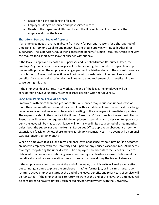- Reason for leave and length of leave;
- Employee's length of service and past service record;
- Needs of the department /University and the University's ability to replace the employee during the leave.

#### <span id="page-47-0"></span>**Short-Term Personal Leave of Absence**

If an employee needs to remain absent from work for personal reasons for a short period of time ranging from one week to one month, he/she should apply in writing to his/her direct supervisor. The supervisor should then contact the Benefits/Human Resources Office to review the request for a short-term leave of absence without pay.

If the leave is approved by both the supervisor and Benefits/Human Resources Office, the employee's group insurance coverages will continue during the short-term unpaid leave up to one month, provided the employee arranges payment of his/her share of the normal insurance contributions. The unpaid leave time will not count towards determining service-related benefits. Sick leave and vacation days will not accrue and retirement plan benefits will also cease during this time.

If the employee does not return to work at the end of the leave, the employee will be considered to have voluntarily resigned his/her position with the University.

#### <span id="page-47-1"></span>**Long-Term Personal Leave of Absence**

Employees with more than one year of continuous service may request an unpaid leave of more than one month for personal reasons. As with a short-term leave, the request for a longterm personal unpaid leave must be made in writing to the employee's immediate supervisor. The supervisor should then contact the Human Resources Office to review the request. Human Resources will review the request with the employee's supervisor and a decision to approve or deny the leave will be made. Such leave will normally be limited to a period of three months, unless both the supervisor and the Human Resources Office approve a subsequent three-month extension, if feasible. Unless there are extraordinary circumstances, in no event will a personal LOA last longer than six months.

When an employee takes a long-term personal leave of absence without pay, he/she becomes an inactive employee with the University and is paid for any unused vacation time. All benefits coverages stop during the unpaid leave. The employee should contact the Benefits Office to obtain information about continuing insurance coverages at his/her expense. Retirement plan benefits stop and sick and vacation time also cease to accrue during the leave of absence.

If the employee wishes to return at the end of the leave, the University will make every effort, but cannot guarantee to place the employee in his/her former job, or in a similar one. Upon return to active employee status at the end of the leave, benefits and prior years of service will be reinstated. If the employee fails to return to work at the end of the leave, the employee will be considered to have voluntarily terminated his/her employment with the University.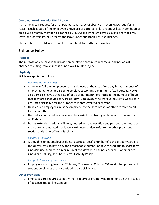#### <span id="page-48-0"></span>**Coordination of LOA with FMLA Leave**

If an employee's request for an unpaid personal leave of absence is for an FMLA- qualifying reason (such as care of the employee's newborn or adopted child, or serious health condition of employee or family member, as defined by FMLA) and if the employee is eligible for the FMLA leave, the University shall process the leave under applicable FMLA guidelines.

Please refer to the FMLA section of the handbook for further information.

## <span id="page-48-1"></span>**Sick Leave Policy**

#### <span id="page-48-2"></span>**Purpose**

The purpose of sick leave is to provide an employee continued income during periods of absence resulting from an illness or non-work related injury.

#### <span id="page-48-3"></span>**Eligibility**

Sick leave applies as follows:

#### *Non-exempt employees*

- a. All regular full-time employees earn sick leave at the rate of one day for each month of employment. Regular part-time employees working a minimum of 20 hours/52 weeks also earn sick leave at the rate of one day per month, pro-rated to the number of hours that they are scheduled to work per day. Employees who work 25 hours/40 weeks earn pro-rated sick leave for the number of months worked each year.
- b. Newly hired employees must be on payroll by the 15th of the month to receive credit for the month.
- c. Unused accumulated sick leave may be carried over from year to year up to a maximum of 90 days.
- d. During extended periods of illness, unused accrued vacation and personal days must be used once accumulated sick leave is exhausted. Also, refer to the other provisions section under Short-Term Disability.

#### *Exempt Employees*

a. Although exempt employees do not accrue a specific number of sick days per year, it is the University's policy to pay for a reasonable number of days missed due to short-term illness/injury, subject to a maximum of five days with pay per absence. For extended illness or disability, see Short-Term Disability Policy.

#### *Ineligible Classes of Employees*

a. Employees working less than 20 hours/52 weeks or 25 hours/40 weeks, temporary and student employees are not entitled to paid sick leave.

#### <span id="page-48-4"></span>**Other Provisions**

1. Employees are required to notify their supervisor promptly by telephone on the first day of absence due to illness/injury.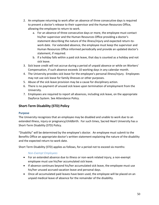- 2. An employee returning to work after an absence of three consecutive days is required to present a doctor's release to their supervisor and the Human Resources Office, allowing the employee to return to work.
	- a. For an absence of three consecutive days or more, the employee must contact his/her supervisor and the Human Resources Office providing a doctor's statement describing the nature of the illness/injury and expected return-towork date. For extended absence, the employee must keep the supervisor and Human Resources Office informed periodically and provide an updated doctor's statement, if required.
	- b. If a holiday falls within a paid sick leave, that day is counted as a holiday and not sick leave.
- 3. Sick leave credit will not accrue during a period of unpaid absence or while on Workers' Compensation, if such absence exceeds 10 working days in any calendar month.
- 4. The University provides sick leave for the employee's personal illness/injury. Employees may not use sick leave for family illnesses or other purposes.
- 5. Abuse of the sick leave provision may be a cause for disciplinary action.
- 6. There is no payment of unused sick leave upon termination of employment from the University.
- 7. Employees are required to report all absences, including sick leave, on the appropriate Dayforce System. See Attendance Policy.

## <span id="page-49-0"></span>**Short-Term Disability (STD) Policy**

## <span id="page-49-1"></span>**Purpose**

The University recognizes that an employee may be disabled and unable to work due to an extended illness, injury or pregnancy/childbirth. For such times, Sacred Heart University has a Short-Term Disability (STD) Policy.

"Disability" will be determined by the employee's doctor. An employee must submit to the Benefits Office an appropriate doctor's written statement explaining the nature of the disability and the expected return-to-work date.

Short Term Disability (STD) applies as follows, for a period not to exceed six months:

## *Non-Exempt Employees*

- For an extended absence due to illness or non-work related injury, a non-exempt employee must use his/her accumulated sick leave.
- If absence continues beyond his/her accumulated sick leave, the employee must use his/her unused accrued vacation leave and personal days.
- Once all accumulated paid leaves have been used, the employee will be placed on an unpaid medical leave of absence for the remainder of the disability.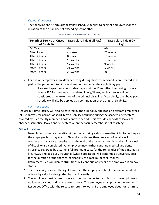#### *Exempt Employees*

• The following short-term disability pay schedule applies to exempt employees for the duration of the disability not exceeding six months:

| <b>Length of Service at Onset</b> | <b>Base Salary Paid (Full Pay)</b> | <b>Base Salary Paid (50%</b> |
|-----------------------------------|------------------------------------|------------------------------|
| of Disability                     |                                    | Pay)                         |
| 0-1 Year                          | -0-                                | -0-                          |
| After 1 Year                      | 4 weeks                            | 22 weeks                     |
| After 2 Years                     | 8 weeks                            | 18 weeks                     |
| After 3 Years                     | 13 weeks                           | 13 weeks                     |
| After 4 Years                     | 17 weeks                           | 9 weeks                      |
| After 5 Years                     | 21 weeks                           | 5 weeks                      |
| After 6 Years                     | 26 weeks                           | $-0-$                        |

#### *Table 1: Short-Term Disability Pay Schedule*

- For exempt employees, holidays occurring during short-term disability are treated as a part of the period of disability, and are not paid separately as holiday pay.
	- o If an employee becomes disabled again within 12 months of returning to work from a STD for the same or a related injury/illness, such absence will be considered as an extension of the original disability. Accordingly, the above pay schedule will also be applied as a continuation of the original disability.

#### *Full-Time Faculty*

Regular full-time faculty will also be covered by the STD policy applicable to exempt employees (at II.2 above), for periods of short-term disability occurring during the academic semesters covered by such faculty member's base contract period. This excludes periods of leaves of absence, sabbatical leaves and semesters when the faculty member is not teaching.

#### <span id="page-50-0"></span>**Other Provisions**

- 1. Benefits: All insurance benefits will continue during a short-term disability, for as long as the employee is on pay status. New hires with less than one year of service will continue on insurance benefits up to the end of the calendar month in which four weeks of disability are completed. An employee may further continue medical and dental insurance coverage by assuming full premium costs for the remainder of the STD. Basic life, AD&D and Basic LTD insurance (where applicable) will continue at University cost for the duration of the short-term disability to a maximum of six months. Retirement/Pension plan contributions will continue only while the employee is on pay status.
- 2. The University reserves the right to require the employee submit to a second medical opinion by a doctor designated by the University.
- 3. The employee must return to work as soon as the doctor certifies that the employee is no longer disabled and may return to work. The employee must provide the Human Resources Office with the release to return to work. If the employee does not return to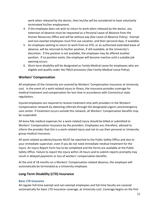work when released by the doctor, then he/she will be considered to have voluntarily terminated his/her employment.

- 4. If the employee does not wish to return to work when released by the doctor, any extension of absence must be requested as a Personal Leave of Absence from the Human Resources Office and will be without pay (See Leave of Absence Policy). Exempt and non-exempt employees must first use vacation, and their personal days, if available.
- 5. An employee wishing to return to work from an STD, or an authorized extended leave of absence, will be returned to his/her position, if still available, at the University's discretion. If the position is not available, the employee may be offered another position. If no position exists, the employee will become inactive until a suitable job opening occurs.
- 6. Short-term disability will be designated as Family Medical Leave for employees who are eligible and qualify under the FMLA provisions (See Family Medical Leave Policy).

## <span id="page-51-0"></span>**Workers' Compensation**

All employees of the University are covered by Workers' Compensation insurance at University cost. In the event of a work-related injury or illness, the insurance provides coverage for medical treatment and compensation for lost time in accordance with Connecticut state regulations.

Injured employees are required to receive treatment only with providers in the Workers' Compensation network by obtaining referrals through the designated urgent care/emergency care center. If treatment occurs outside this network, all Workers' Compensation benefits may be suspended.

All bona fide medical expenses for a work-related injury should be billed or submitted to Workers' Compensation insurance by the providers. Employees are, therefore, advised to inform the provider that this is a work-related injury and not to use their personal or University group medical insurance.

All work-related accidents/injuries MUST be reported to the Public Safety Office and also to your immediate supervisor, even if you do not need immediate medical treatment for the injury. An Injury Report Form has to be completed and the forms are available at the Public Safety Office. Failure to report the injury within 24 hours and to submit reports promptly may result in delayed payments or loss of workers' compensation benefits.

At the end of 18 months on a Workers' Compensation-related absence, the employee will automatically be terminated as a University employee.

## <span id="page-51-1"></span>**Long-Term Disability (LTD) Insurance**

#### <span id="page-51-2"></span>**Basic LTD Insurance**

All regular full-time exempt and non-exempt employees and full-time faculty are covered automatically for basic LTD insurance coverage, at University cost. Coverage begins on the first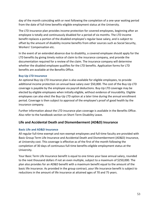day of the month coinciding with or next following the completion of a one-year waiting period from the date of full-time benefits-eligible employment status at the University.

The LTD insurance plan provides income protection for covered employees, beginning after an employee is totally and continuously disabled for a period of six months. The LTD income benefit replaces a portion of the disabled employee's regular base salary, and is subject to offset by the amount of disability income benefits from other sources such as Social Security, Workers' Compensation etc.

In the event of an extended absence due to disability, a covered employee should apply for the LTD benefits by giving timely notice of claim to the insurance company, and provide the documentation required for a review of the claim. The insurance company will determine whether the disabled employee qualifies for the LTD benefits. Application forms for LTD benefits are available at the Benefits Office.

#### <span id="page-52-0"></span>**Buy-Up LTD Insurance**

An optional Buy-Up LTD insurance plan is also available for eligible employees, to provide additional income protection on annual base salary over \$50,000. The cost of the Buy-Up LTD coverage is payable by the employee via payroll deductions. Buy-Up LTD coverage may be elected by eligible employees when initially eligible, without evidence of insurability. Eligible employees can also elect the Buy-Up LTD option at a later time during the annual enrollment period. Coverage is then subject to approval of the employee's proof of good health by the insurance company.

Further information about the LTD insurance plan coverage is available in the Benefits Office. Also refer to the handbook section on Short-Term Disability Leave.

## <span id="page-52-1"></span>**Life and Accidental Death and Dismemberment (AD&D) Insurance**

## <span id="page-52-2"></span>**Basic Life and AD&D Insurance**

All regular full-time exempt and non-exempt employees and full-time faculty are provided with Basic Group Term Life Insurance and Accidental Death and Dismemberment (AD&D) Insurance, at University cost. This coverage is effective as of the first of the month following the completion of 30 days of continuous full-time benefits-eligible employment status at the University.

Your Basic Term Life Insurance benefit is equal to one times your base annual salary, rounded to the next thousand dollars if not an even multiple, subject to a maximum of \$250,000. The plan also provides for an AD&D benefit with a maximum benefit equal to the amount of the basic life insurance. As provided in the group contract, your life insurance benefit is subject to reductions in the amount of life insurance at attained ages of 70 and 75 years.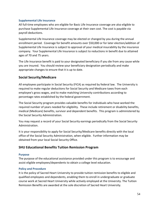#### <span id="page-53-0"></span>**Supplemental Life Insurance**

All full-time employees who are eligible for Basic Life Insurance coverage are also eligible to purchase Supplemental Life Insurance coverage at their own cost. The cost is payable via payroll deductions.

Supplemental Life Insurance coverage may be elected or changed by you during the annual enrollment period. Coverage for benefit amounts over \$50,000 or for later election/addition of Supplemental Life Insurance is subject to approval of your medical insurability by the insurance company. Your Supplemental Life Insurance is subject to reductions in benefit due to attained ages of 70 and 75 years.

The Life Insurance benefit is paid to your designated beneficiary if you die from any cause while you are insured. You should review your beneficiary designation periodically and make appropriate changes to ensure that it is up to date.

## <span id="page-53-1"></span>**Social Security/Medicare**

All employees participate in Social Security (FICA) as required by federal law. The University is required to make regular deductions for Social Security and Medicare taxes from each employee's gross wages, and to make matching University contributions according to percentage rates established by the federal government.

The Social Security program provides valuable benefits for individuals who have worked the required number of years needed for eligibility. These include retirement or disability benefits, medical (Medicare) benefits, survivor and dependent benefits. This program is administered by the Social Security Administration.

You may request a record of your Social Security earnings periodically from the Social Security Administration.

It is your responsibility to apply for Social Security/Medicare benefits directly with the local office of the Social Security Administration, when eligible. Further information may be obtained from your local Social Security Office.

## <span id="page-53-2"></span>**SHU Educational Benefits Tuition Remission Program**

#### <span id="page-53-3"></span>**Purpose**

The purpose of the educational assistance provided under this program is to encourage and assist eligible employees/dependents to obtain a college level education.

#### <span id="page-53-4"></span>**Policy and Procedure**

It is the policy of Sacred Heart University to provide tuition remission benefits to eligible and qualified employees and dependents, enabling them to enroll in undergraduate or graduate course work at Sacred Heart University while actively employed at the University. The Tuition Remission Benefits are awarded at the sole discretion of Sacred Heart University.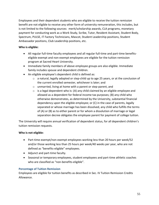Employees and their dependent students who are eligible to receive the tuition remission benefit are not eligible to receive any other form of university remuneration, this includes, but is not limited to the following sources: merit/scholarship awards, CLA programs, monetary payment for conducting work as a Work Study, Scribe, Tutor, Resident Assistant, Student Body, Spectrum, PULSE, IT Factory Technicians, Mascot, Student Leadership positions, Student Ambassador positions, Club Leadership positions, etc.

## **Who is eligible:**

- All regular full-time faculty employees and all regular full-time and part-time benefitseligible exempt and non-exempt employees are eligible for the tuition remission program at Sacred Heart University.
- Immediate family members of above employee groups are also eligible. Immediate family includes spouse and dependent children.
- An eligible employee's dependent child is defined as:
	- $\circ$  a natural, legally adopted or step-child up to age 25 years, or at the conclusion of the current enrolled semester, whichever is later; and
	- o unmarried, living at home with a parent or step-parent, and
	- $\circ$  is a legal dependent who is: (A) any child claimed by an eligible employee and allowed as a dependent for federal income tax purposes; (B) any child who otherwise demonstrates, as determined by the University, substantial financial dependency upon the eligible employee; or (C) in the case of parents, legally separated or whose marriage has been dissolved, any child who fulfills the terms of (A) or (B) as to either parent or for whom a dissolution of marriage or legal separation decree obligates the employee parent for payment of college tuition.

The University will require annual verification of dependent status, for all dependent children's tuition remission requests.

## **Who is not eligible:**

- Part-time exempt/non-exempt employees working less than 20 hours per week/52 and/or those working less than 25 hours per week/40 weeks per year, who are not defined as "benefits-eligible" employees.
- Adjunct and part-time faculty.
- Seasonal or temporary employees, student employees and part-time athletic coaches who are classified as "non-benefits-eligible".

## <span id="page-54-0"></span>**Percentage of Tuition Remission**

Employees are eligible for tuition benefits as described in Sec. IV Tuition Remission Credits Allowance.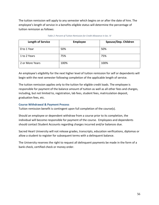The tuition remission will apply to any semester which begins on or after the date of hire. The employee's length of service in a benefits-eligible status will determine the percentage of tuition remission as follows:

| <b>Length of Service</b> | Employee | Spouse/Dep. Children |
|--------------------------|----------|----------------------|
| 0 to 1 Year              | 50%      | 50%                  |
| 1 to 2 Years             | 75%      | 75%                  |
| 2 or More Years          | 100%     | 100%                 |

#### *Table 2: Percent of Tuition Remission for Credit Allowance in Sec. IV*

An employee's eligibility for the next higher level of tuition remission for self or dependents will begin with the next semester following completion of the applicable length of service.

The tuition remission applies only to the tuition for eligible credit loads. The employee is responsible for payment of the balance amount of tuition as well as all other fees and charges, including, but not limited to, registration, lab fees, student fees, matriculation deposit, graduation fees, etc.

## <span id="page-55-0"></span>**Course Withdrawal & Payment Process**

Tuition remission benefit is contingent upon full completion of the course(s).

Should an employee or dependent withdraw from a course prior to its completion, the individual will become responsible for payment of the course. Employees and dependents should contact Student Accounts regarding charges incurred and/or balances due.

Sacred Heart University will not release grades, transcripts, education verifications, diplomas or allow a student to register for subsequent terms with a delinquent balance.

The University reserves the right to request all delinquent payments be made in the form of a bank check, certified check or money order.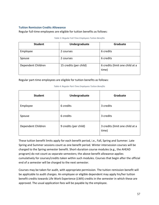#### <span id="page-56-0"></span>**Tuition Remission Credits Allowance**

Regular full-time employees are eligible for tuition benefits as follows:

| <b>Student</b>     | Undergraduate          | <b>Graduate</b>                          |  |
|--------------------|------------------------|------------------------------------------|--|
| Employee           | 2 courses              | 6 credits                                |  |
| Spouse             | 2 courses              | 6 credits                                |  |
| Dependent Children | 15 credits (per child) | 6 credits (limit one child at a<br>time) |  |

#### *Table 3: Regular Full-Time Employees Tuition Benefits*

Regular part-time employees are eligible for tuition benefits as follows:

| <b>Student</b>     | Undergraduate         | Graduate                                 |
|--------------------|-----------------------|------------------------------------------|
| Employee           | 6 credits             | 3 credits                                |
| Spouse             | 6 credits             | 3 credits                                |
| Dependent Children | 9 credits (per child) | 3 credits (limit one child at a<br>time) |

#### *Table 4: Regular Part-Time Employees Tuition Benefits*

These tuition benefit limits apply for each benefit period, i.e., Fall, Spring and Summer. Late Spring and Summer sessions count as one benefit period. Winter intersession courses will be charged to the Spring semester benefit. Short-duration course modules (e.g., the AHEAD program) do not count as separate semesters; the above benefit allowance applies cumulatively for courses/credits taken within such modules. Courses that begin after the official end of a semester will be charged to the next semester.

Courses may be taken for audit, with appropriate permission. The tuition remission benefit will be applicable to audit charges. An employee or eligible dependent may apply his/her tuition benefit credits towards Life Work Experience (LWX) credits in the semester in which these are approved. The usual application fees will be payable by the employee.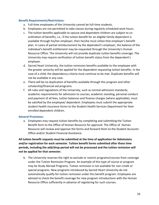#### <span id="page-57-0"></span>**Benefit Requirements/Restrictions:**

- a. Full-time employees of the University cannot be full-time students.
- b. Employees are not permitted to take classes during regularly scheduled work hours.
- c. The tuition benefits applicable to spouse and dependent children are subject to coordination of benefits, i.e., if the tuition benefit for an eligible family dependent is available through his/her employer, then he/she must utilize that employer's benefit plan. In cases of partial reimbursement by the dependent's employer, the balance of the individual's benefit entitlement may be requested through the University's Human Resource Office. The University will not provide duplicate tuition benefits coverage. The University may require verification of tuition benefit status from the dependent's employer.
- d. Sacred Heart University, the tuition remission benefits available to the employee with the greater seniority will be applied for the dependent requesting tuition benefits. In the case of a child, the dependency criteria must continue to be met. Duplicate benefits will not be available in any case.
- e. There will be no duplication of benefits available through this program and other scholarship/financial aid programs.
- f. All rules and regulations of the University, such as normal admission standards, academic requirements for admission to courses, academic standing, personal conduct and payment of all fees, tuition balances and finance charges (where applicable), must be satisfied by the employee/ dependent. Employees must submit the appropriate student health insurance forms to the Student Health Services Department for their enrolled dependent children.

#### <span id="page-57-1"></span>**General Provisions:**

a. Employees may request tuition benefits by completing and submitting the Tuition Benefit form to the Office of Human Resource for approval. The Office of Human Resource will review and approve the forms and forward them to the Student Accounts Office and/or Student Financial Assistance.

**All tuition benefit requests must be submitted at the time of application for Admissions and/or registration for each semester. Tuition benefit forms submitted after these time periods, including the add/drop period will not be processed and the tuition remission will not be applied for that semester.**

b. The University reserves the right to exclude or restrict programs/courses from coverage under the Tuition Remission Program. An example of this type of course or program may be Study Abroad Programs. Tuition remission is not available for non-credit or special programs. New programs introduced by Sacred Heart University do not automatically qualify for tuition remission under this benefit program. Employees are advised to check the benefit coverage for new program introductions with the Human Resource Office sufficiently in advance of registering for such courses.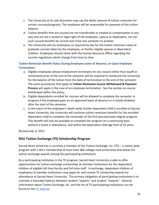- c. The University at its sole discretion may cap the dollar amount of tuition remission for certain courses/programs. The employee will be responsible for payment of the tuition balance.
- d. Tuition benefits that are unused are not transferable or treated as compensation in any way and are not a vested or legal right of the employee, spouse or dependent, nor can such unused benefits be carried over from one semester to another.
- e. The University will tax employees as required by law for the tuition remission value of graduate courses taken by the employee, or his/her eligible spouse or dependent children. Employees should check with the Human Resource Office regarding the current regulations which change from time to time.

## <span id="page-58-0"></span>**Tuition Remission Benefit Status During Employee Leave of Absence, or Upon Employee Termination:**

- a. Eligible employees whose employment terminates for any reason (other than layoff or retirement) prior to the end of the semester will be required to reimburse the University for the balance of the tuition from the date of termination to the end of the semester. The same procedures that apply to **Tuition Remission Course Withdrawal & Payment Process** will apply in the case of an employee termination. See the section on course withdrawal within this policy.
- b. Eligible dependents enrolled for courses will be allowed to complete the semester in progress if the employee goes on an approved leave of absence or is totally disabled after the start of the semester.
- c. In the event of the employee's death while his/her dependent child is enrolled at Sacred Heart University, the University will continue tuition remission benefits for the enrolled dependent child to complete the remainder of the first baccalaureate degree program. This benefit will only be available to complete the program on a continuing basis without a break in attendance, and within the dependent child age limit of 25 years.

*Revised July, 6, 2015*

## <span id="page-58-1"></span>**SHU Tuition Exchange (TE) Scholarship Program**

Sacred Heart University is currently a member of the Tuition Exchange, Inc. (TE) – a nation-wide program with a 2011 membership of more than 600 colleges and universities that allows for tuition exchange awards among the participating institutions.

As a participating institution in the TE program, Sacred Heart University is able to offer opportunities for tuition exchange scholarships at member institutions for the dependent children of eligible full-time faculty and full-time staff. In exchange, dependent children of employees of member institutions may apply for and receive TE scholarship awards for attendance at Sacred Heart University. The primary obligation of participating institutions is to maintain a favorable balance between student "exports" and student "imports". General information about Tuition Exchange, Inc. and the list of TE participating institutions can be found on the [TE website.](http://www.tuitionexchange.org/)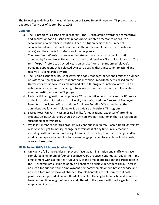The following guidelines for the administration of Sacred Heart University's TE program were updated effective as of September 1, 2005.

#### <span id="page-59-0"></span>**General:**

- a. The TE program is a scholarship program. The TE scholarship awards are competitive, and application for a TE scholarship does not guarantee acceptance or ensure a TE scholarship at a member institution. Each institution decides the number of scholarships it will offer each year (within the requirements set by the TE national office) and the criteria for selection of the recipients.
- b. The term "import" refers to an incoming student from a participating institution accepted by Sacred Heart University to attend and receive a TE scholarship award. The term "export" refers to a Sacred Heart University (home institution) employee's outgoing dependent child selected by a participating (host) institution to attend and receive a TE scholarship award.
- c. The Tuition Exchange, Inc. is the governing body that determines and limits the number of slots for outgoing (export) students and incoming (import) students based on the University's credit balance as maintained at the TE program's national office. The TE national office also has the sole right to increase or reduce the number of available member institutions in the TE program.
- d. Each participating institution appoints a TE liaison officer who manages the TE program at the institution. Sacred Heart University has designated the Director of Employee Benefits as the liaison officer, and the Employee Benefits Office handles all the administrative functions related to Sacred Heart University's TE program.
- e. Sacred Heart University assumes no liability for educational expenses of attending students on TE scholarships should the University's participation in the TE program be suspended or terminated.
- f. While it is intended that this program will continue indefinitely, Sacred Heart University reserves the right to modify, change or terminate it at any time, in any manner, including, without limitation, the right to amend the policy to reduce, change, and/or modify the type and amount of tuition exchange provided to any class of individuals covered hereunder.

## <span id="page-59-1"></span>**Eligibility for SHU's TE Export Scholarships:**

a. Only active full-time regular employees (faculty, administration and staff) who have completed a minimum of four consecutive years of active, continuous, regular, full-time employment with Sacred Heart University at the time of application for participation in the TE program are eligible to apply on behalf of an eligible dependent child. There is no credit for prior part time employment, temporary employment, broken service and no credit for time on leave of absence. Double benefits are not permitted if both parents are employed at Sacred Heart University. The eligibility for scholarship will be based on full time length of service and offered to the parent with the longer full time employment record.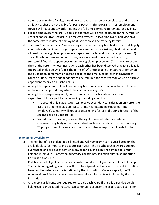- b. Adjunct or part-time faculty, part-time, seasonal or temporary employees and part-time athletic coaches are not eligible for participation in this program. Their employment service will not count towards meeting the full-time service requirement for eligibility.
- c. Eligible employees who are TE applicant parents will be ranked based on the number of years of consecutive, regular, full-time employment. If two employees applying have the same effective date of employment, selection will be made by lottery.
- d. The term "dependent child" refers to legally dependent eligible children: natural, legally adopted or step-children. Legal dependents are defined as: (A) any child claimed and allowed by the eligible employee as a dependent for federal income tax purposes; (B) any child who otherwise demonstrates, as determined solely by the University, substantial financial dependency upon the eligible employee; or (C) in the case of any child of the parents whose marriage to each other has been dissolved or who are legally separated by decree who fulfills the terms of (A) or (B) as to either parent or for whom the dissolution agreement or decree obligates the employee parent for payment of college tuition. Proof of dependency will be required for each year for which an eligible dependent receives a TE scholarship.
- e. An eligible dependent child will remain eligible to receive a TE scholarship until the end of the academic year during which the child reaches age 25.
- f. An eligible employee may apply concurrently for TE participation for a second dependent child, subject to the following overriding conditions:
	- The second child's application will receive secondary consideration only after the list of all other eligible applicants for the year has been exhausted. The employee's seniority will not be a determining factor in the consideration of the second child's TE application.
	- Sacred Heart University reserves the right to re-evaluate the continued concurrent eligibility of the second child each year in relation to the University's TE program credit balance and the total number of export applicants for the year.

## <span id="page-60-0"></span>**Scholarship Availability:**

- a. The number of TE scholarships is limited and will vary from year to year based on the available slots for imports and exports each year. The TE scholarship awards are not guaranteed and are dependent on many criteria such as, but not limited to, credit balance within our TE program, budgetary constraints, selection criteria at importing host institutions, etc.
- b. Certification of eligibility by the home institution does not guarantee a TE scholarship. The decision regarding award of a TE scholarship rests entirely with the host institution based on the selection criteria defined by that institution. Once accepted, the TE scholarship recipient must continue to meet all requirements established by the host institution.
- c. All export participants are required to reapply each year. If there is a positive credit balance, it is anticipated that SHU can continue to sponsor the export participants for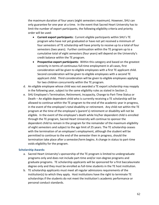the maximum duration of four years (eight semesters maximum). However, SHU can only guarantee for one year at a time. In the event that Sacred Heart University has to limit the number of export participants, the following eligibility criteria and priority order will be used:

- **Current export participants:** Current eligible participants within SHU's TE program who have not yet graduated or have not yet received a minimum of four semesters of TE scholarship will have priority to receive up to a total of four semesters (two years). Further continuation within the TE program up to a cumulative total of eight semesters (four years) will depend on the University's credit balance within the TE program.
- **Prospective export participants:** Within this category and based on the greatest seniority in terms of continuous full-time employment in all cases, first consideration will be given to eligible employees with a first TE applicant child. Second consideration will be given to eligible employees with a second TE applicant child. Third consideration will be given to eligible employees applying for two children concurrently within the TE program.
- d. An eligible employee whose child was not awarded a TE export scholarship may reapply in the following year, subject to the same eligibility rules as stated in Section 2.
- e. SHU Employee's Termination, Retirement, Incapacity, Change to Part-Time Status or Death – An eligible dependent child who is currently receiving a TE scholarship will be allowed to continue within the TE program to the end of the academic year in progress, in the event of the employee's total disability or retirement. Any child not within the TE program at the time of the employee's (parent's) retirement or disability will not be eligible. In the event of the employee's death while his/her dependent child is enrolled through the TE program, Sacred Heart University will continue to sponsor the dependent child to remain in the program for the remainder of the maximum eligibility of eight semesters and subject to the age limit of 25 years. The TE scholarship ceases with the termination of an employee's employment, although the student will be permitted to continue to the end of the semester then in progress, should the termination take place after a semester/term begins. A change in status to part-time voids eligibility for the program.

#### <span id="page-61-0"></span>**Scholarship Awards:**

- a. Sacred Heart University's sponsorship of the TE program is limited to undergraduate programs only and does not include part-time and/or non-degree programs and graduate programs. TE scholarship applicants will be sponsored for a first baccalaureate degree only and they must be enrolled as full-time students in the TE host institution.
- b. TE scholarship applicants must meet all regular admissions requirements of the institution(s) to which they apply. Host institutions have the right to terminate TE scholarships if the students do not meet the institution's academic performance or personal conduct standards.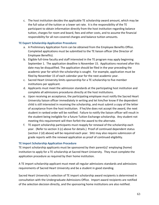c. The host institution decides the applicable TE scholarship award amount, which may be the full value of the tuition or a lower set rate. It is the responsibility of the TE participant to obtain information directly from the host institution regarding balance tuition, charges for room and board, fees and other costs, and to assume the financial responsibility for all non-covered charges and balance tuition amounts.

#### <span id="page-62-0"></span>**TE Export Scholarship Application Procedure:**

- a. A Preliminary Application Form can be obtained from the Employee Benefits Office. Completed applications must be submitted to the TE liaison officer (the Director of Employee Benefits).
- b. Eligible full-time faculty and staff interested in the TE program may apply beginning September 1. The application deadline is November 15. Applications received after this date may be disqualified. The application should be filed in the year preceding the academic year for which the scholarship is sought. For example, application must be filed by November 15 of each calendar year for the next academic year.
- c. Sacred Heart University limits sponsorship for a TE scholarship to five member institutions per applicant.
- d. Applicants must meet the admission standards at the participating host institution and complete all admissions procedures directly at the host institutions.
- e. Upon receiving an acceptance, the participating employee must notify the Sacred Heart University liaison officer immediately in writing and let him/her know if the dependent child is still interested in receiving the scholarship, and must submit a copy of the letter of acceptance from the host institution. If he/she does not accept the award, the next student in ranked order will be notified. Failure to notify the liaison officer will result in the student being ineligible for a future Tuition Exchange scholarship. Any student not meeting this requirement will then forfeit the award to the alternate.
- f. TE export scholarship participants must reapply for renewal of the scholarship each year. (Refer to section 3 (c) above for details.) Proof of continued dependent status (section 2 (d) above) will be required each year. SHU may also require submission of grade reports with the renewal application as proof of continued eligibility.

#### <span id="page-62-1"></span>**TE Import Scholarship Application Procedure**

TE import scholarship applicants must be sponsored by their parent(s)' employing (home) institution to apply for a TE scholarship at Sacred Heart University. They must complete the application procedure as required by their home institution.

A TE import scholarship applicant must meet all regular admissions standards and admissions requirements of Sacred Heart University and be a student in good standing.

Sacred Heart University's selection of TE import scholarship award recipients is determined in consultation with the Undergraduate Admissions Office. Import award recipients are notified of the selection decision directly, and the sponsoring home institutions are also notified.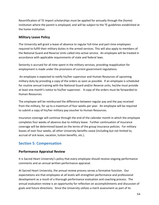Recertification of TE import scholarships must be applied for annually through the (home) institution where the parent is employed, and will be subject to the TE guidelines established at the home institution.

## <span id="page-63-0"></span>**Military Leave Policy**

The University will grant a leave of absence to regular full-time and part-time employees required to fulfill their military duties in the armed services. This will also apply to members of the National Guard and Reserve Units called into active service. An employee will be treated in accordance with applicable requirements of state and federal laws.

Seniority is accrued for all time spent in the military services, providing reapplication for employment is made under the provisions of current government regulations.

An employee is expected to notify his/her supervisor and Human Resources of upcoming military duty by providing a copy of the orders as soon as possible. If an employee is scheduled for routine annual training with the National Guard and/or Reserve units, he/she must provide at least one month's notice to his/her supervisor. A copy of the orders must be forwarded to Human Resources.

The employee will be reimbursed the difference between regular pay and the pay received from the military, for up to a maximum of four weeks per year. An employee will be required to submit a copy of his/her military pay voucher to Human Resources.

Insurance coverage will continue through the end of the calendar month in which the employee completes four weeks of absence due to military leave. Further continuation of insurance coverage will be determined based on the terms of the group insurance policies. For military leaves of over four weeks, all other University benefits cease (including but not limited to, accrual of sick leave, vacation, tuition benefits, etc.).

## <span id="page-63-1"></span>**Section 5: Compensation**

## <span id="page-63-2"></span>**Performance Appraisal Review**

It is Sacred Heart University's policy that every employee should receive ongoing performance comments and an annual written performance appraisal.

At Sacred Heart University, the annual review process serves a formative function. Our expectations are that employees at all levels will strengthen performance and professional development as a result of a thorough performance evaluation and coaching process. The annual evaluation review is an opportunity for reflection on accomplishments and discussion of goals and future directions. Since the University utilizes a merit assessment as part of its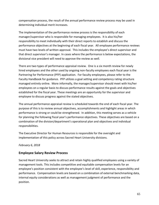compensation process, the result of the annual performance review process may be used in determining individual merit increases.

The implementation of the performance review process is the responsibility of each manager/supervisor who is responsible for managing employees. It is also his/her responsibility to meet individually with their direct reports to establish and discuss the performance objectives at the beginning of each fiscal year. All employee performance reviews must have two levels of written approval. This includes the employee's direct supervisor and that direct supervisor's manager. In cases where the performance is below expectations, the divisional vice president will need to approve the review as well.

There are two types of performance appraisal review. One is a six month review for newly hired employees and the other used by ongoing non-faculty employees each fiscal year is the Partnering for Performance (PFP) application. For faculty employees, please refer to the Faculty Handbook for guidance. PFP utilizes a goal setting and competency rating structure managed entirely online. More informally, the manager/supervisor should meet with his/her employees on a regular basis to discuss performance results against the goals and objectives established for the fiscal year. These meetings are an opportunity for the supervisor and employee to discuss progress against the stated objectives.

The annual performance appraisal review is scheduled towards the end of each fiscal year. The purpose of this is to review annual objectives, accomplishments and highlight areas in which performance is strong or could be strengthened. In addition, this meeting serves as a vehicle for planning the following fiscal year's performance objectives. These objectives are based on a combination of the division/department's operational plan and objectives and individual responsibilities.

The Executive Director for Human Resources is responsible for the oversight and implementation of this policy across Sacred Heart University divisions.

*February 6, 2018*

## <span id="page-64-0"></span>**Employee Salary Review Process**

Sacred Heart University seeks to attract and retain highly qualified employees using a variety of management tools. This includes competitive and equitable compensation levels for an employee's position consistent with the employee's level of skill, experience, responsibility and performance. Compensation levels are based on a combination of external benchmarking data, internal equity considerations as well as management judgment of performance and the position.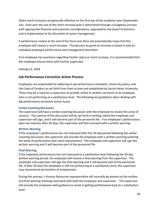Salary merit increases are generally effective on the first day of the academic year (September 1st). Each year the size of the merit increase pool is determined through a budgetary process with appropriate financial and economic considerations, approved by the board of directors and is implemented at the discretion of senior management.

A performance review at the end of the fiscal year does not automatically mean that the employee will receive a merit increase. The decision to grant an increase is based in part on individual employee performance and management discretion.

If an employee has questions regarding his/her salary or merit increase, it is recommended that the employee discuss them with his/her supervisor.

*February 6, 2018*

## <span id="page-65-0"></span>**Job Performance Corrective Action Process**

Employees are responsible for adhering to job performance standards, University policy, and the Code of Conduct as set forth from time to time and established by Sacred Heart University. There may be a need for a supervisor to provide verbal or written comment to an employee who is not performing at a satisfactory level. The following are guidelines when dealing with job performance corrective action issues.

#### <span id="page-65-1"></span>**Verbal Coaching Discussion**

The supervisor will have a verbal coaching discussion with the employee to review the areas of concern. The content of the discussion will be set forth in writing, which the employee and supervisor will sign, and it will become part of the personnel file. If an employee's performance does not improve after 30 days, the supervisor will then proceed with a written warning.

#### <span id="page-65-2"></span>**Written Warning**

If the employee's performance has not improved after the 30-day period following the verbal coaching discussion, the supervisor will provide the employee with a written warning outlining the areas of performance that need improvement. The employee and supervisor will sign the written warning and it will become part of the personnel file.

#### <span id="page-65-3"></span>**Final Warning**

If the employee performance has not improved to a satisfactory level following the 30-day written warning period, the employee will receive a final warning from the supervisor. The employee and supervisor will sign the final warning and it will become part of the personnel file. If after 30 days the employee is still not performing at a satisfactory level, the supervisor may recommend termination of employment.

During the process, a Human Resources representative will normally be present at the written and final warning meetings and work with both the employee and supervisor. The supervisor will provide the employee with guidance to assist in getting performance back to a satisfactory level.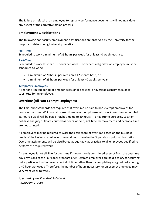The failure or refusal of an employee to sign any performance documents will not invalidate any aspect of the corrective action process.

## <span id="page-66-0"></span>**Employment Classifications**

The following non-faculty employment classifications are observed by the University for the purpose of determining University benefits:

#### <span id="page-66-1"></span>**Full-Time**

Scheduled to work a minimum of 35 hours per week for at least 40 weeks each year.

#### <span id="page-66-2"></span>**Part-Time**

Scheduled to work less than 35 hours per week. For benefits eligibility, an employee must be scheduled to work:

- a minimum of 20 hours per week on a 12-month basis, or
- a minimum of 25 hours per week for at least 40 weeks per year

#### <span id="page-66-3"></span>**Temporary Employees**

Hired for a limited period of time for occasional, seasonal or overload assignments, or to substitute for an employee.

## <span id="page-66-4"></span>**Overtime (All Non-Exempt Employees)**

The Fair Labor Standards Act requires that overtime be paid to non-exempt employees for hours worked over 40 in a work week. Non-exempt employees who work over their scheduled 35 hours a week will be paid straight time up to 40 hours. For overtime purposes, vacation, holidays and jury duty are counted as hours worked; sick time, bereavement and personal time are not counted.

All employees may be required to work their fair share of overtime based on the business needs of the University. All overtime work must receive the Supervisor's prior authorization. Overtime assignments will be distributed as equitably as practical to all employees qualified to perform the required work.

An employee is not eligible for overtime if the position is considered exempt from the overtime pay provisions of the Fair Labor Standards Act. Exempt employees are paid a salary for carrying out a particular function over a period of time rather than for completing assigned tasks during a 40-hour workweek. Therefore, the number of hours necessary for an exempt employee may vary from week to week.

*Approved by the President & Cabinet Revise April 7, 2008*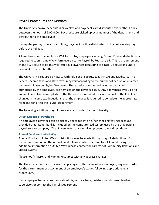## <span id="page-67-0"></span>**Payroll Procedures and Services**

The University payroll schedule is bi-weekly, and paychecks are distributed every other Friday between the hours of 9:00-4:00. Paychecks are picked up by a member of the department and distributed to the employees.

If a regular payday occurs on a holiday, paychecks will be distributed on the last working day before the holiday.

All employees must complete a W-4 form. Any employee claiming "exempt" from deductions is required to submit a new W-4 form every year to Payroll by February 15. This is a requirement of the IRS. Failure to do this will result in allowances defaulting to Single-0 deductions until a new W-4 form is submitted.

The University is required by law to withhold Social Security taxes (FICA) and Medicare. The Federal income taxes and state taxes may vary according to the number of deductions claimed by the employee on his/her W-4 form. These deductions, as well as other deductions authorized by the employee, are itemized on the paycheck stub. Any allowances over 11 or if an employee claims exempt status the University is required by law to report to the IRS. For changes in income tax deductions, etc., the employee is required to complete the appropriate form and send it to the Payroll Department.

The following additional payroll services are provided by the University:

#### <span id="page-67-1"></span>**Direct Deposit of Paychecks**

An employee's paycheck can be directly deposited into his/her checking/savings account, provided that his/her bank is included on the computerized system used by the University's payroll service company. The University encourages all employees to use direct deposit.

#### <span id="page-67-2"></span>**Annual Fund and United Way**

Annual Fund and United Way contributions may be made through payroll deductions. For further information on the Annual Fund, please contact the Director of Annual Giving. For additional information on United Way, please contact the Director of Community Relations and Special Events.

Please notify Payroll and Human Resources with any address changes.

The University is required by law to apply, against the salary of any employee, any court order for the garnishment or attachment of an employee's wages following appropriate legal procedures.

If an employee has any questions about his/her paycheck, he/she should consult his/her supervisor, or contact the Payroll Department.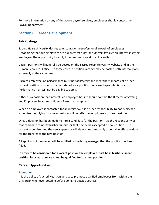For more information on any of the above payroll services, employees should contact the Payroll Department.

## <span id="page-68-0"></span>**Section 6: Career Development**

## <span id="page-68-1"></span>**Job Postings**

Sacred Heart University desires to encourage the professional growth of employees. Recognizing that our employees are our greatest asset, the University takes an interest in giving employees the opportunity to apply for open positions at the University.

Vacant positions will generally be posted on the Sacred Heart University website and in the Human Resources Office. In some cases, a position vacancy may be posted both internally and externally at the same time.

Current employee job performance must be satisfactory and meet the standards of his/her current position in order to be considered for a position. Any employee who is on a Performance Plan will not be eligible to apply.

If there is a position that interests an employee he/she should contact the Director of Staffing and Employee Relations in Human Resources to apply.

When an employee is contacted for an interview, it is his/her responsibility to notify his/her supervisor. Applying for a new position will not affect an employee's current position.

Once a decision has been made to hire a candidate for the position, it is the responsibility of that candidate to notify his/her supervisor that he/she has accepted a new position. The current supervisor and the new supervisor will determine a mutually acceptable effective date for the transfer to the new position.

All applicants interviewed will be notified by the hiring manager that the position has been filled.

**In order to be considered for a vacant position the employee must be in his/her current position for a least one year and be qualified for the new position.**

## <span id="page-68-2"></span>**Career Opportunities**

## <span id="page-68-3"></span>**Promotions**

It is the policy of Sacred Heart University to promote qualified employees from within the University whenever possible before going to outside sources.